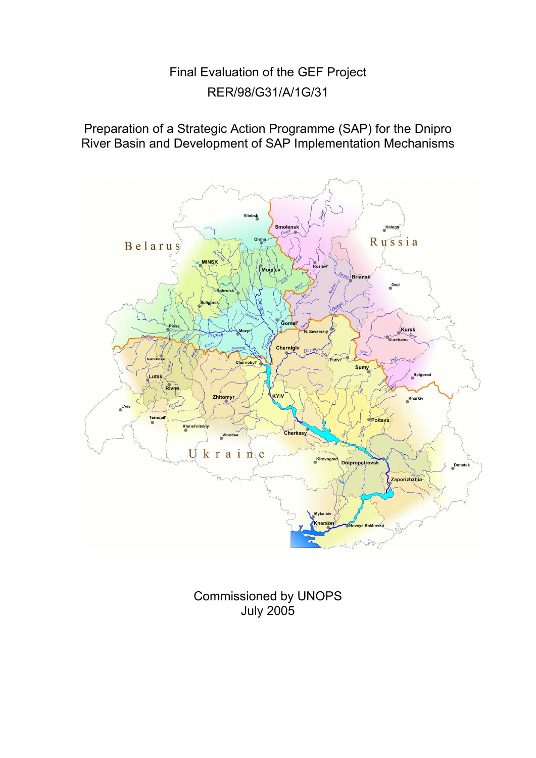# Final Evaluation of the GEF Project RER/98/G31/A/1G/31

Preparation of a Strategic Action Programme (SAP) for the Dnipro River Basin and Development of SAP Implementation Mechanisms



Commissioned by UNOPS July 2005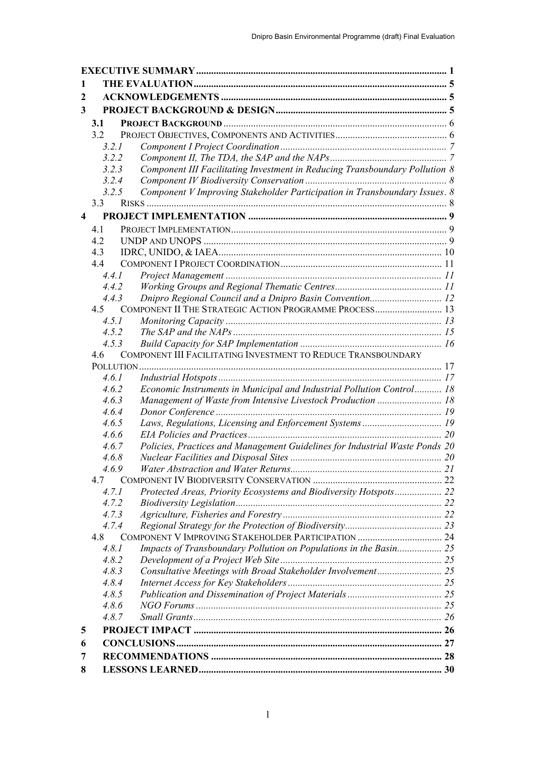| L                       |                |                                                                             |  |
|-------------------------|----------------|-----------------------------------------------------------------------------|--|
| $\mathbf{2}$            |                |                                                                             |  |
| 3                       |                |                                                                             |  |
|                         | 3.1            |                                                                             |  |
|                         | 3.2            |                                                                             |  |
|                         | 3.2.1          |                                                                             |  |
|                         | 3.2.2          |                                                                             |  |
|                         | 3.2.3          | Component III Facilitating Investment in Reducing Transboundary Pollution 8 |  |
|                         | 3.2.4          |                                                                             |  |
|                         | 3.2.5          | Component V Improving Stakeholder Participation in Transboundary Issues. 8  |  |
|                         | 3.3            |                                                                             |  |
| $\overline{\mathbf{4}}$ |                |                                                                             |  |
|                         | 4.1            |                                                                             |  |
|                         | 4.2            |                                                                             |  |
|                         | 4.3            |                                                                             |  |
|                         | 4.4            |                                                                             |  |
|                         | 4.4.1          |                                                                             |  |
|                         | 4.4.2          |                                                                             |  |
|                         | 4.4.3          | Dnipro Regional Council and a Dnipro Basin Convention 12                    |  |
|                         | 4.5            | COMPONENT II THE STRATEGIC ACTION PROGRAMME PROCESS 13                      |  |
|                         | 4.5.1          |                                                                             |  |
|                         | 4.5.2          |                                                                             |  |
|                         | 4.5.3          |                                                                             |  |
|                         | 4.6            | COMPONENT III FACILITATING INVESTMENT TO REDUCE TRANSBOUNDARY               |  |
|                         |                |                                                                             |  |
|                         | 4.6.1          |                                                                             |  |
|                         | 4.6.2          | Economic Instruments in Municipal and Industrial Pollution Control 18       |  |
|                         | 4.6.3          | Management of Waste from Intensive Livestock Production  18                 |  |
|                         | 4.6.4          |                                                                             |  |
|                         | 4.6.5          |                                                                             |  |
|                         | 4.6.6          |                                                                             |  |
|                         | 4.6.7          | Policies, Practices and Management Guidelines for Industrial Waste Ponds 20 |  |
|                         | 4.6.8          |                                                                             |  |
|                         | 469            |                                                                             |  |
|                         | 4.7            |                                                                             |  |
|                         | 4.7.1          | Protected Areas, Priority Ecosystems and Biodiversity Hotspots 22           |  |
|                         | 4.7.2          |                                                                             |  |
|                         | 4.7.3          |                                                                             |  |
|                         | 4.7.4          |                                                                             |  |
|                         | 4.8            | COMPONENT V IMPROVING STAKEHOLDER PARTICIPATION  24                         |  |
|                         | 4.8.1          | Impacts of Transboundary Pollution on Populations in the Basin 25           |  |
|                         | 4.8.2          |                                                                             |  |
|                         | 4.8.3          | Consultative Meetings with Broad Stakeholder Involvement 25                 |  |
|                         | 4.8.4          |                                                                             |  |
|                         | 4.8.5          |                                                                             |  |
|                         | 4.8.6<br>4.8.7 |                                                                             |  |
|                         |                |                                                                             |  |
| 5                       |                |                                                                             |  |
| 6                       |                |                                                                             |  |
| 7                       |                |                                                                             |  |
| 8                       |                |                                                                             |  |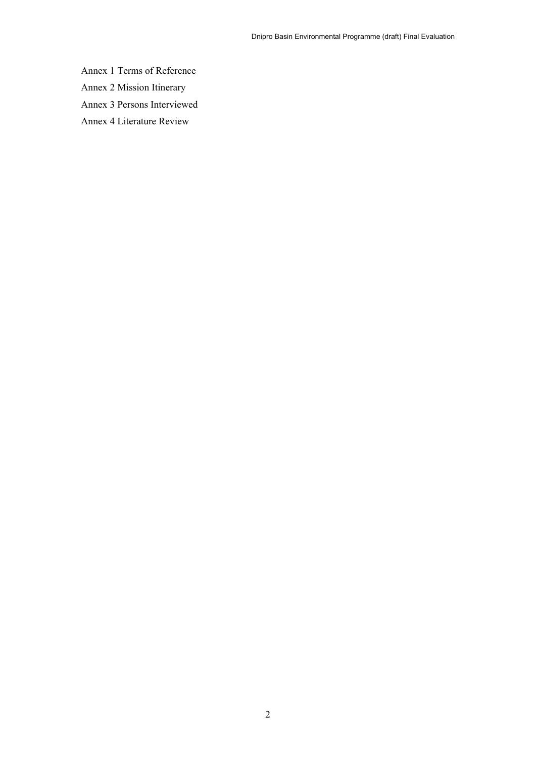Annex 1 Terms of Reference

Annex 2 Mission Itinerary

Annex 3 Persons Interviewed

Annex 4 Literature Review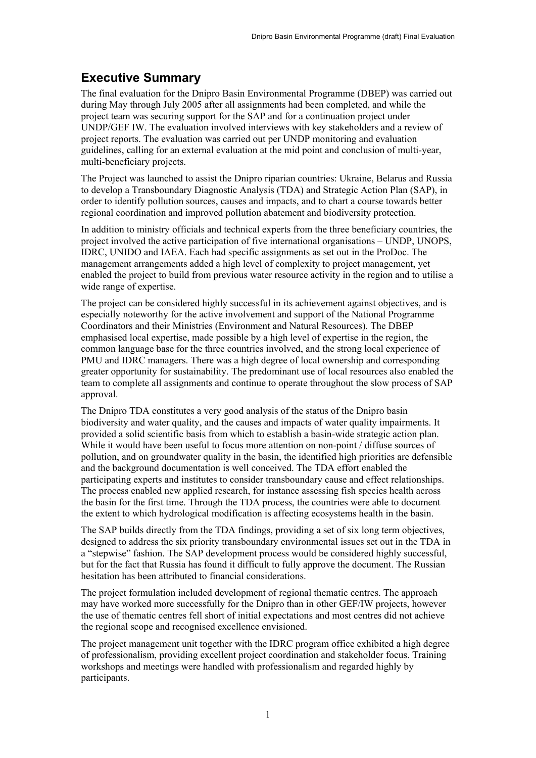# <span id="page-3-0"></span>**Executive Summary**

The final evaluation for the Dnipro Basin Environmental Programme (DBEP) was carried out during May through July 2005 after all assignments had been completed, and while the project team was securing support for the SAP and for a continuation project under UNDP/GEF IW. The evaluation involved interviews with key stakeholders and a review of project reports. The evaluation was carried out per UNDP monitoring and evaluation guidelines, calling for an external evaluation at the mid point and conclusion of multi-year, multi-beneficiary projects.

The Project was launched to assist the Dnipro riparian countries: Ukraine, Belarus and Russia to develop a Transboundary Diagnostic Analysis (TDA) and Strategic Action Plan (SAP), in order to identify pollution sources, causes and impacts, and to chart a course towards better regional coordination and improved pollution abatement and biodiversity protection.

In addition to ministry officials and technical experts from the three beneficiary countries, the project involved the active participation of five international organisations – UNDP, UNOPS, IDRC, UNIDO and IAEA. Each had specific assignments as set out in the ProDoc. The management arrangements added a high level of complexity to project management, yet enabled the project to build from previous water resource activity in the region and to utilise a wide range of expertise.

The project can be considered highly successful in its achievement against objectives, and is especially noteworthy for the active involvement and support of the National Programme Coordinators and their Ministries (Environment and Natural Resources). The DBEP emphasised local expertise, made possible by a high level of expertise in the region, the common language base for the three countries involved, and the strong local experience of PMU and IDRC managers. There was a high degree of local ownership and corresponding greater opportunity for sustainability. The predominant use of local resources also enabled the team to complete all assignments and continue to operate throughout the slow process of SAP approval.

The Dnipro TDA constitutes a very good analysis of the status of the Dnipro basin biodiversity and water quality, and the causes and impacts of water quality impairments. It provided a solid scientific basis from which to establish a basin-wide strategic action plan. While it would have been useful to focus more attention on non-point / diffuse sources of pollution, and on groundwater quality in the basin, the identified high priorities are defensible and the background documentation is well conceived. The TDA effort enabled the participating experts and institutes to consider transboundary cause and effect relationships. The process enabled new applied research, for instance assessing fish species health across the basin for the first time. Through the TDA process, the countries were able to document the extent to which hydrological modification is affecting ecosystems health in the basin.

The SAP builds directly from the TDA findings, providing a set of six long term objectives, designed to address the six priority transboundary environmental issues set out in the TDA in a "stepwise" fashion. The SAP development process would be considered highly successful, but for the fact that Russia has found it difficult to fully approve the document. The Russian hesitation has been attributed to financial considerations.

The project formulation included development of regional thematic centres. The approach may have worked more successfully for the Dnipro than in other GEF/IW projects, however the use of thematic centres fell short of initial expectations and most centres did not achieve the regional scope and recognised excellence envisioned.

The project management unit together with the IDRC program office exhibited a high degree of professionalism, providing excellent project coordination and stakeholder focus. Training workshops and meetings were handled with professionalism and regarded highly by participants.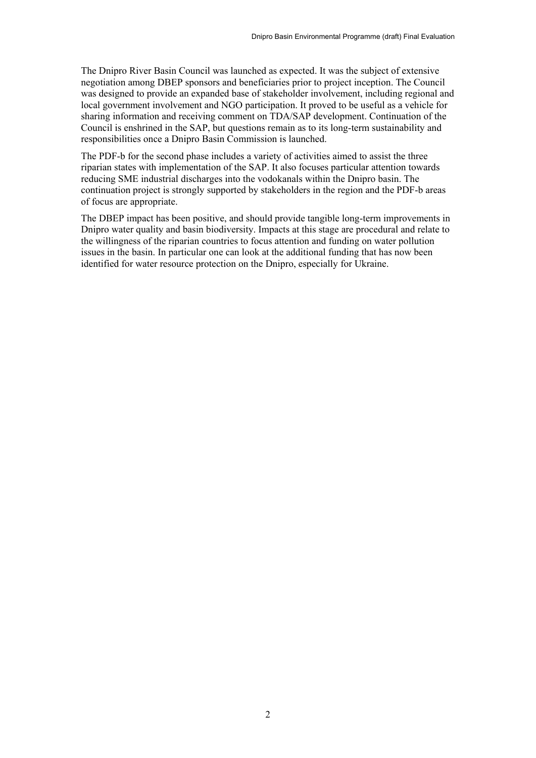The Dnipro River Basin Council was launched as expected. It was the subject of extensive negotiation among DBEP sponsors and beneficiaries prior to project inception. The Council was designed to provide an expanded base of stakeholder involvement, including regional and local government involvement and NGO participation. It proved to be useful as a vehicle for sharing information and receiving comment on TDA/SAP development. Continuation of the Council is enshrined in the SAP, but questions remain as to its long-term sustainability and responsibilities once a Dnipro Basin Commission is launched.

The PDF-b for the second phase includes a variety of activities aimed to assist the three riparian states with implementation of the SAP. It also focuses particular attention towards reducing SME industrial discharges into the vodokanals within the Dnipro basin. The continuation project is strongly supported by stakeholders in the region and the PDF-b areas of focus are appropriate.

The DBEP impact has been positive, and should provide tangible long-term improvements in Dnipro water quality and basin biodiversity. Impacts at this stage are procedural and relate to the willingness of the riparian countries to focus attention and funding on water pollution issues in the basin. In particular one can look at the additional funding that has now been identified for water resource protection on the Dnipro, especially for Ukraine.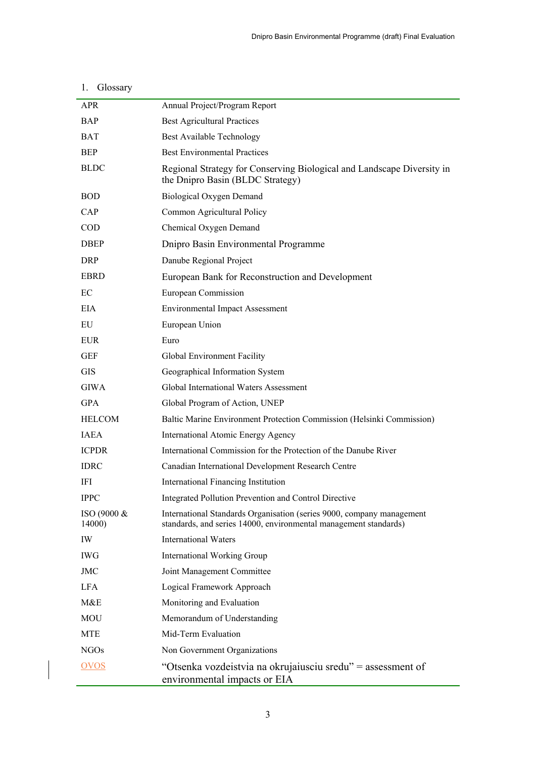| <b>APR</b>              | Annual Project/Program Report                                                                                                             |
|-------------------------|-------------------------------------------------------------------------------------------------------------------------------------------|
| <b>BAP</b>              | <b>Best Agricultural Practices</b>                                                                                                        |
| <b>BAT</b>              | <b>Best Available Technology</b>                                                                                                          |
| BEP                     | <b>Best Environmental Practices</b>                                                                                                       |
| <b>BLDC</b>             | Regional Strategy for Conserving Biological and Landscape Diversity in<br>the Dnipro Basin (BLDC Strategy)                                |
| <b>BOD</b>              | Biological Oxygen Demand                                                                                                                  |
| CAP                     | Common Agricultural Policy                                                                                                                |
| <b>COD</b>              | Chemical Oxygen Demand                                                                                                                    |
| <b>DBEP</b>             | Dnipro Basin Environmental Programme                                                                                                      |
| <b>DRP</b>              | Danube Regional Project                                                                                                                   |
| <b>EBRD</b>             | European Bank for Reconstruction and Development                                                                                          |
| EC                      | European Commission                                                                                                                       |
| EIA                     | <b>Environmental Impact Assessment</b>                                                                                                    |
| EU                      | European Union                                                                                                                            |
| <b>EUR</b>              | Euro                                                                                                                                      |
| <b>GEF</b>              | Global Environment Facility                                                                                                               |
| <b>GIS</b>              | Geographical Information System                                                                                                           |
| <b>GIWA</b>             | Global International Waters Assessment                                                                                                    |
| <b>GPA</b>              | Global Program of Action, UNEP                                                                                                            |
| <b>HELCOM</b>           | Baltic Marine Environment Protection Commission (Helsinki Commission)                                                                     |
| <b>IAEA</b>             | International Atomic Energy Agency                                                                                                        |
| <b>ICPDR</b>            | International Commission for the Protection of the Danube River                                                                           |
| <b>IDRC</b>             | Canadian International Development Research Centre                                                                                        |
| IFI                     | International Financing Institution                                                                                                       |
| <b>IPPC</b>             | Integrated Pollution Prevention and Control Directive                                                                                     |
| $ISO(9000 \&$<br>14000) | International Standards Organisation (series 9000, company management<br>standards, and series 14000, environmental management standards) |
| IW                      | <b>International Waters</b>                                                                                                               |
| <b>IWG</b>              | International Working Group                                                                                                               |
| JMC                     | Joint Management Committee                                                                                                                |
| <b>LFA</b>              | Logical Framework Approach                                                                                                                |
| M&E                     | Monitoring and Evaluation                                                                                                                 |
| MOU                     | Memorandum of Understanding                                                                                                               |
| <b>MTE</b>              | Mid-Term Evaluation                                                                                                                       |
| NGO <sub>s</sub>        | Non Government Organizations                                                                                                              |
| <b>OVOS</b>             | "Otsenka vozdeistvia na okrujaiusciu sredu" = assessment of<br>environmental impacts or EIA                                               |

## 1. Glossary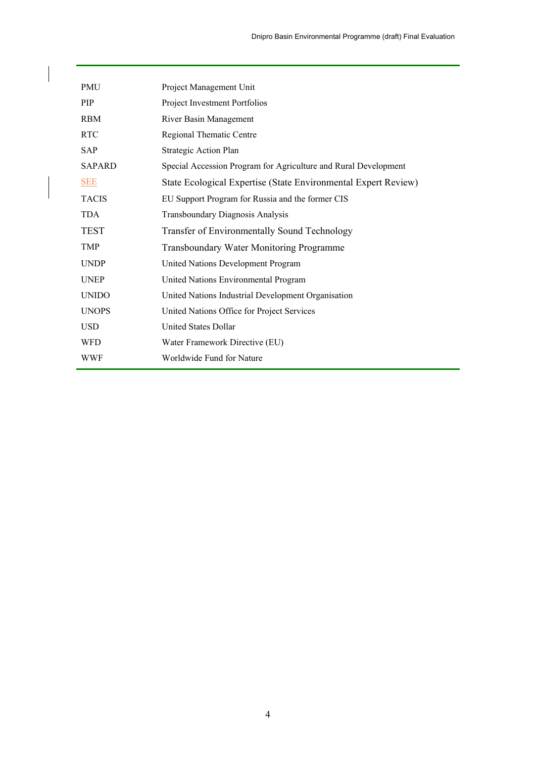| <b>PMU</b>    | Project Management Unit                                         |
|---------------|-----------------------------------------------------------------|
| <b>PIP</b>    | Project Investment Portfolios                                   |
| <b>RBM</b>    | River Basin Management                                          |
| <b>RTC</b>    | Regional Thematic Centre                                        |
| <b>SAP</b>    | Strategic Action Plan                                           |
| <b>SAPARD</b> | Special Accession Program for Agriculture and Rural Development |
| <b>SEE</b>    | State Ecological Expertise (State Environmental Expert Review)  |
| <b>TACIS</b>  | EU Support Program for Russia and the former CIS                |
| <b>TDA</b>    | Transboundary Diagnosis Analysis                                |
| <b>TEST</b>   | Transfer of Environmentally Sound Technology                    |
| <b>TMP</b>    | <b>Transboundary Water Monitoring Programme</b>                 |
| <b>UNDP</b>   | United Nations Development Program                              |
| <b>UNEP</b>   | United Nations Environmental Program                            |
| <b>UNIDO</b>  | United Nations Industrial Development Organisation              |
| <b>UNOPS</b>  | United Nations Office for Project Services                      |
| <b>USD</b>    | <b>United States Dollar</b>                                     |
| <b>WFD</b>    | Water Framework Directive (EU)                                  |
| <b>WWF</b>    | Worldwide Fund for Nature                                       |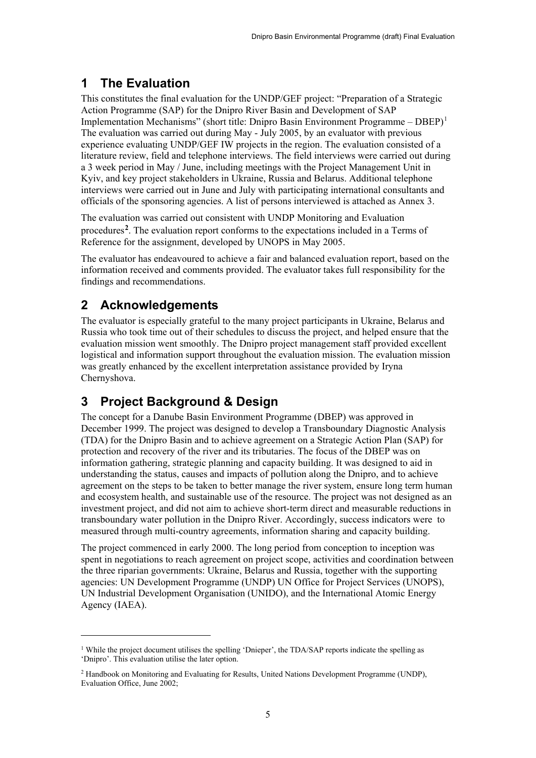# <span id="page-7-0"></span>**1 The Evaluation**

This constitutes the final evaluation for the UNDP/GEF project: "Preparation of a Strategic Action Programme (SAP) for the Dnipro River Basin and Development of SAP Implementation Mechanisms" (short title: Dnipro Basin Environment Programme –  $DBEP$ )<sup>[1](#page-7-3)</sup> The evaluation was carried out during May - July 2005, by an evaluator with previous experience evaluating UNDP/GEF IW projects in the region. The evaluation consisted of a literature review, field and telephone interviews. The field interviews were carried out during a 3 week period in May / June, including meetings with the Project Management Unit in Kyiv, and key project stakeholders in Ukraine, Russia and Belarus. Additional telephone interviews were carried out in June and July with participating international consultants and officials of the sponsoring agencies. A list of persons interviewed is attached as Annex 3.

The evaluation was carried out consistent with UNDP Monitoring and Evaluation procedures**[2](#page-7-4)**. The evaluation report conforms to the expectations included in a Terms of Reference for the assignment, developed by UNOPS in May 2005.

The evaluator has endeavoured to achieve a fair and balanced evaluation report, based on the information received and comments provided. The evaluator takes full responsibility for the findings and recommendations.

# <span id="page-7-1"></span>**2 Acknowledgements**

<u>.</u>

The evaluator is especially grateful to the many project participants in Ukraine, Belarus and Russia who took time out of their schedules to discuss the project, and helped ensure that the evaluation mission went smoothly. The Dnipro project management staff provided excellent logistical and information support throughout the evaluation mission. The evaluation mission was greatly enhanced by the excellent interpretation assistance provided by Iryna Chernyshova.

# <span id="page-7-2"></span>**3 Project Background & Design**

The concept for a Danube Basin Environment Programme (DBEP) was approved in December 1999. The project was designed to develop a Transboundary Diagnostic Analysis (TDA) for the Dnipro Basin and to achieve agreement on a Strategic Action Plan (SAP) for protection and recovery of the river and its tributaries. The focus of the DBEP was on information gathering, strategic planning and capacity building. It was designed to aid in understanding the status, causes and impacts of pollution along the Dnipro, and to achieve agreement on the steps to be taken to better manage the river system, ensure long term human and ecosystem health, and sustainable use of the resource. The project was not designed as an investment project, and did not aim to achieve short-term direct and measurable reductions in transboundary water pollution in the Dnipro River. Accordingly, success indicators were to measured through multi-country agreements, information sharing and capacity building.

The project commenced in early 2000. The long period from conception to inception was spent in negotiations to reach agreement on project scope, activities and coordination between the three riparian governments: Ukraine, Belarus and Russia, together with the supporting agencies: UN Development Programme (UNDP) UN Office for Project Services (UNOPS), UN Industrial Development Organisation (UNIDO), and the International Atomic Energy Agency (IAEA).

<span id="page-7-3"></span><sup>&</sup>lt;sup>1</sup> While the project document utilises the spelling 'Dnieper', the TDA/SAP reports indicate the spelling as 'Dnipro'. This evaluation utilise the later option.

<span id="page-7-4"></span><sup>2</sup> Handbook on Monitoring and Evaluating for Results, United Nations Development Programme (UNDP), Evaluation Office, June 2002;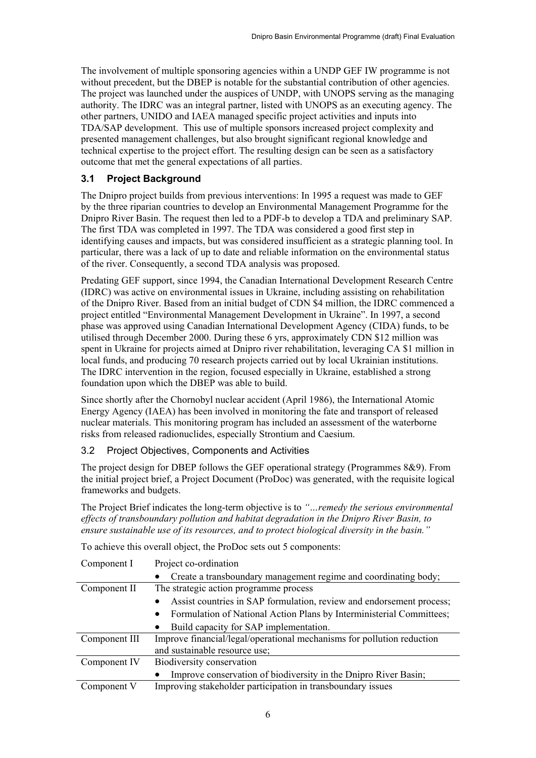The involvement of multiple sponsoring agencies within a UNDP GEF IW programme is not without precedent, but the DBEP is notable for the substantial contribution of other agencies. The project was launched under the auspices of UNDP, with UNOPS serving as the managing authority. The IDRC was an integral partner, listed with UNOPS as an executing agency. The other partners, UNIDO and IAEA managed specific project activities and inputs into TDA/SAP development. This use of multiple sponsors increased project complexity and presented management challenges, but also brought significant regional knowledge and technical expertise to the project effort. The resulting design can be seen as a satisfactory outcome that met the general expectations of all parties.

## <span id="page-8-0"></span>**3.1 Project Background**

The Dnipro project builds from previous interventions: In 1995 a request was made to GEF by the three riparian countries to develop an Environmental Management Programme for the Dnipro River Basin. The request then led to a PDF-b to develop a TDA and preliminary SAP. The first TDA was completed in 1997. The TDA was considered a good first step in identifying causes and impacts, but was considered insufficient as a strategic planning tool. In particular, there was a lack of up to date and reliable information on the environmental status of the river. Consequently, a second TDA analysis was proposed.

Predating GEF support, since 1994, the Canadian International Development Research Centre (IDRC) was active on environmental issues in Ukraine, including assisting on rehabilitation of the Dnipro River. Based from an initial budget of CDN \$4 million, the IDRC commenced a project entitled "Environmental Management Development in Ukraine". In 1997, a second phase was approved using Canadian International Development Agency (CIDA) funds, to be utilised through December 2000. During these 6 yrs, approximately CDN \$12 million was spent in Ukraine for projects aimed at Dnipro river rehabilitation, leveraging CA \$1 million in local funds, and producing 70 research projects carried out by local Ukrainian institutions. The IDRC intervention in the region, focused especially in Ukraine, established a strong foundation upon which the DBEP was able to build.

Since shortly after the Chornobyl nuclear accident (April 1986), the International Atomic Energy Agency (IAEA) has been involved in monitoring the fate and transport of released nuclear materials. This monitoring program has included an assessment of the waterborne risks from released radionuclides, especially Strontium and Caesium.

#### <span id="page-8-1"></span>3.2 Project Objectives, Components and Activities

The project design for DBEP follows the GEF operational strategy (Programmes 8&9). From the initial project brief, a Project Document (ProDoc) was generated, with the requisite logical frameworks and budgets.

The Project Brief indicates the long-term objective is to *"…remedy the serious environmental effects of transboundary pollution and habitat degradation in the Dnipro River Basin, to ensure sustainable use of its resources, and to protect biological diversity in the basin."*

To achieve this overall object, the ProDoc sets out 5 components:

| Component I   | Project co-ordination                                                             |
|---------------|-----------------------------------------------------------------------------------|
|               | Create a transboundary management regime and coordinating body;<br>$\bullet$      |
| Component II  | The strategic action programme process                                            |
|               | Assist countries in SAP formulation, review and endorsement process;<br>$\bullet$ |
|               | Formulation of National Action Plans by Interministerial Committees;<br>$\bullet$ |
|               | Build capacity for SAP implementation.<br>٠                                       |
| Component III | Improve financial/legal/operational mechanisms for pollution reduction            |
|               | and sustainable resource use;                                                     |
| Component IV  | Biodiversity conservation                                                         |
|               | Improve conservation of biodiversity in the Dnipro River Basin;<br>$\bullet$      |
| Component V   | Improving stakeholder participation in transboundary issues                       |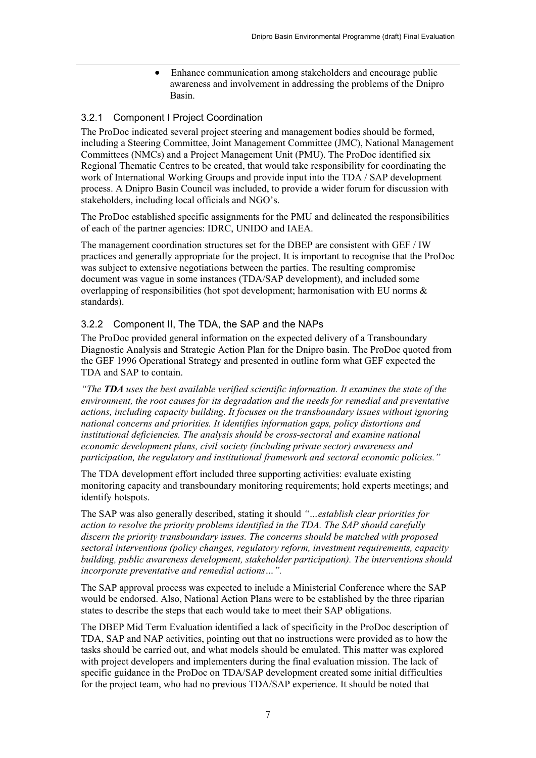• Enhance communication among stakeholders and encourage public awareness and involvement in addressing the problems of the Dnipro Basin.

#### <span id="page-9-0"></span>3.2.1 Component I Project Coordination

The ProDoc indicated several project steering and management bodies should be formed, including a Steering Committee, Joint Management Committee (JMC), National Management Committees (NMCs) and a Project Management Unit (PMU). The ProDoc identified six Regional Thematic Centres to be created, that would take responsibility for coordinating the work of International Working Groups and provide input into the TDA / SAP development process. A Dnipro Basin Council was included, to provide a wider forum for discussion with stakeholders, including local officials and NGO's.

The ProDoc established specific assignments for the PMU and delineated the responsibilities of each of the partner agencies: IDRC, UNIDO and IAEA.

The management coordination structures set for the DBEP are consistent with GEF / IW practices and generally appropriate for the project. It is important to recognise that the ProDoc was subject to extensive negotiations between the parties. The resulting compromise document was vague in some instances (TDA/SAP development), and included some overlapping of responsibilities (hot spot development; harmonisation with EU norms & standards).

## <span id="page-9-1"></span>3.2.2 Component II, The TDA, the SAP and the NAPs

The ProDoc provided general information on the expected delivery of a Transboundary Diagnostic Analysis and Strategic Action Plan for the Dnipro basin. The ProDoc quoted from the GEF 1996 Operational Strategy and presented in outline form what GEF expected the TDA and SAP to contain.

*"The TDA uses the best available verified scientific information. It examines the state of the environment, the root causes for its degradation and the needs for remedial and preventative actions, including capacity building. It focuses on the transboundary issues without ignoring national concerns and priorities. It identifies information gaps, policy distortions and institutional deficiencies. The analysis should be cross-sectoral and examine national economic development plans, civil society (including private sector) awareness and participation, the regulatory and institutional framework and sectoral economic policies."*

The TDA development effort included three supporting activities: evaluate existing monitoring capacity and transboundary monitoring requirements; hold experts meetings; and identify hotspots.

The SAP was also generally described, stating it should *"…establish clear priorities for action to resolve the priority problems identified in the TDA. The SAP should carefully discern the priority transboundary issues. The concerns should be matched with proposed sectoral interventions (policy changes, regulatory reform, investment requirements, capacity building, public awareness development, stakeholder participation). The interventions should incorporate preventative and remedial actions…".*

The SAP approval process was expected to include a Ministerial Conference where the SAP would be endorsed. Also, National Action Plans were to be established by the three riparian states to describe the steps that each would take to meet their SAP obligations.

The DBEP Mid Term Evaluation identified a lack of specificity in the ProDoc description of TDA, SAP and NAP activities, pointing out that no instructions were provided as to how the tasks should be carried out, and what models should be emulated. This matter was explored with project developers and implementers during the final evaluation mission. The lack of specific guidance in the ProDoc on TDA/SAP development created some initial difficulties for the project team, who had no previous TDA/SAP experience. It should be noted that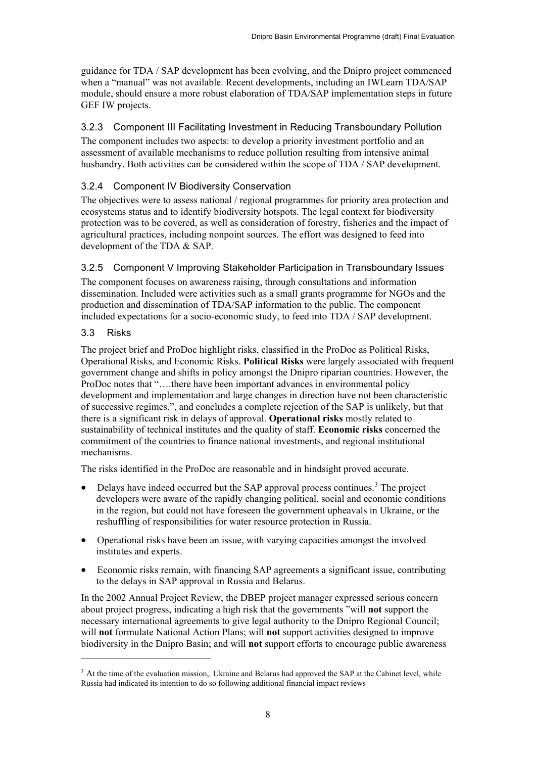guidance for TDA / SAP development has been evolving, and the Dnipro project commenced when a "manual" was not available. Recent developments, including an IWLearn TDA/SAP module, should ensure a more robust elaboration of TDA/SAP implementation steps in future GEF IW projects.

#### <span id="page-10-0"></span>3.2.3 Component III Facilitating Investment in Reducing Transboundary Pollution

The component includes two aspects: to develop a priority investment portfolio and an assessment of available mechanisms to reduce pollution resulting from intensive animal husbandry. Both activities can be considered within the scope of TDA / SAP development.

#### <span id="page-10-1"></span>3.2.4 Component IV Biodiversity Conservation

The objectives were to assess national / regional programmes for priority area protection and ecosystems status and to identify biodiversity hotspots. The legal context for biodiversity protection was to be covered, as well as consideration of forestry, fisheries and the impact of agricultural practices, including nonpoint sources. The effort was designed to feed into development of the TDA & SAP.

#### <span id="page-10-2"></span>3.2.5 Component V Improving Stakeholder Participation in Transboundary Issues

The component focuses on awareness raising, through consultations and information dissemination. Included were activities such as a small grants programme for NGOs and the production and dissemination of TDA/SAP information to the public. The component included expectations for a socio-economic study, to feed into TDA / SAP development.

#### <span id="page-10-3"></span>3.3 Risks

<u>.</u>

The project brief and ProDoc highlight risks, classified in the ProDoc as Political Risks, Operational Risks, and Economic Risks. **Political Risks** were largely associated with frequent government change and shifts in policy amongst the Dnipro riparian countries. However, the ProDoc notes that "….there have been important advances in environmental policy development and implementation and large changes in direction have not been characteristic of successive regimes.", and concludes a complete rejection of the SAP is unlikely, but that there is a significant risk in delays of approval. **Operational risks** mostly related to sustainability of technical institutes and the quality of staff. **Economic risks** concerned the commitment of the countries to finance national investments, and regional institutional mechanisms.

The risks identified in the ProDoc are reasonable and in hindsight proved accurate.

- Delays have indeed occurred but the SAP approval process continues.<sup>[3](#page-10-4)</sup> The project developers were aware of the rapidly changing political, social and economic conditions in the region, but could not have foreseen the government upheavals in Ukraine, or the reshuffling of responsibilities for water resource protection in Russia.
- Operational risks have been an issue, with varying capacities amongst the involved institutes and experts.
- Economic risks remain, with financing SAP agreements a significant issue, contributing to the delays in SAP approval in Russia and Belarus.

In the 2002 Annual Project Review, the DBEP project manager expressed serious concern about project progress, indicating a high risk that the governments "will **not** support the necessary international agreements to give legal authority to the Dnipro Regional Council; will **not** formulate National Action Plans; will **not** support activities designed to improve biodiversity in the Dnipro Basin; and will **not** support efforts to encourage public awareness

<span id="page-10-4"></span><sup>&</sup>lt;sup>3</sup> At the time of the evaluation mission,. Ukraine and Belarus had approved the SAP at the Cabinet level, while Russia had indicated its intention to do so following additional financial impact reviews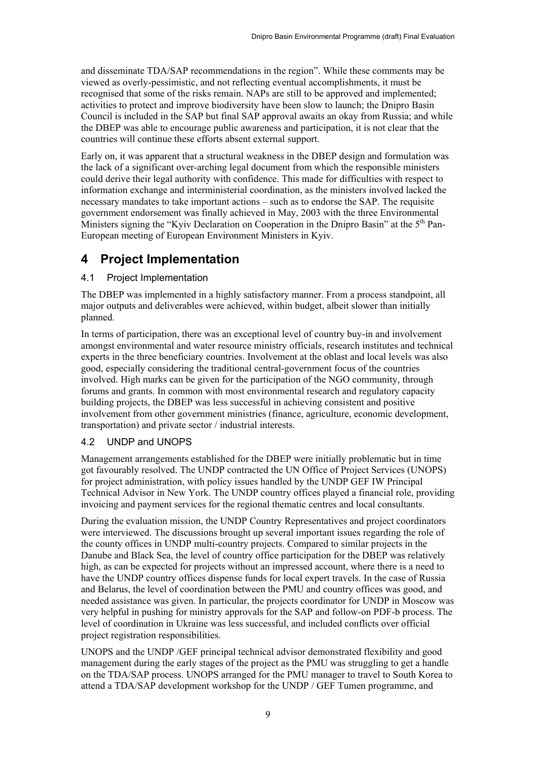and disseminate TDA/SAP recommendations in the region". While these comments may be viewed as overly-pessimistic, and not reflecting eventual accomplishments, it must be recognised that some of the risks remain. NAPs are still to be approved and implemented; activities to protect and improve biodiversity have been slow to launch; the Dnipro Basin Council is included in the SAP but final SAP approval awaits an okay from Russia; and while the DBEP was able to encourage public awareness and participation, it is not clear that the countries will continue these efforts absent external support.

Early on, it was apparent that a structural weakness in the DBEP design and formulation was the lack of a significant over-arching legal document from which the responsible ministers could derive their legal authority with confidence. This made for difficulties with respect to information exchange and interministerial coordination, as the ministers involved lacked the necessary mandates to take important actions – such as to endorse the SAP. The requisite government endorsement was finally achieved in May, 2003 with the three Environmental Ministers signing the "Kyiv Declaration on Cooperation in the Dnipro Basin" at the  $5<sup>th</sup>$  Pan-European meeting of European Environment Ministers in Kyiv.

## <span id="page-11-0"></span>**4 Project Implementation**

#### <span id="page-11-1"></span>4.1 Project Implementation

The DBEP was implemented in a highly satisfactory manner. From a process standpoint, all major outputs and deliverables were achieved, within budget, albeit slower than initially planned.

In terms of participation, there was an exceptional level of country buy-in and involvement amongst environmental and water resource ministry officials, research institutes and technical experts in the three beneficiary countries. Involvement at the oblast and local levels was also good, especially considering the traditional central-government focus of the countries involved. High marks can be given for the participation of the NGO community, through forums and grants. In common with most environmental research and regulatory capacity building projects, the DBEP was less successful in achieving consistent and positive involvement from other government ministries (finance, agriculture, economic development, transportation) and private sector / industrial interests.

## <span id="page-11-2"></span>4.2 UNDP and UNOPS

Management arrangements established for the DBEP were initially problematic but in time got favourably resolved. The UNDP contracted the UN Office of Project Services (UNOPS) for project administration, with policy issues handled by the UNDP GEF IW Principal Technical Advisor in New York. The UNDP country offices played a financial role, providing invoicing and payment services for the regional thematic centres and local consultants.

During the evaluation mission, the UNDP Country Representatives and project coordinators were interviewed. The discussions brought up several important issues regarding the role of the county offices in UNDP multi-country projects. Compared to similar projects in the Danube and Black Sea, the level of country office participation for the DBEP was relatively high, as can be expected for projects without an impressed account, where there is a need to have the UNDP country offices dispense funds for local expert travels. In the case of Russia and Belarus, the level of coordination between the PMU and country offices was good, and needed assistance was given. In particular, the projects coordinator for UNDP in Moscow was very helpful in pushing for ministry approvals for the SAP and follow-on PDF-b process. The level of coordination in Ukraine was less successful, and included conflicts over official project registration responsibilities.

UNOPS and the UNDP /GEF principal technical advisor demonstrated flexibility and good management during the early stages of the project as the PMU was struggling to get a handle on the TDA/SAP process. UNOPS arranged for the PMU manager to travel to South Korea to attend a TDA/SAP development workshop for the UNDP / GEF Tumen programme, and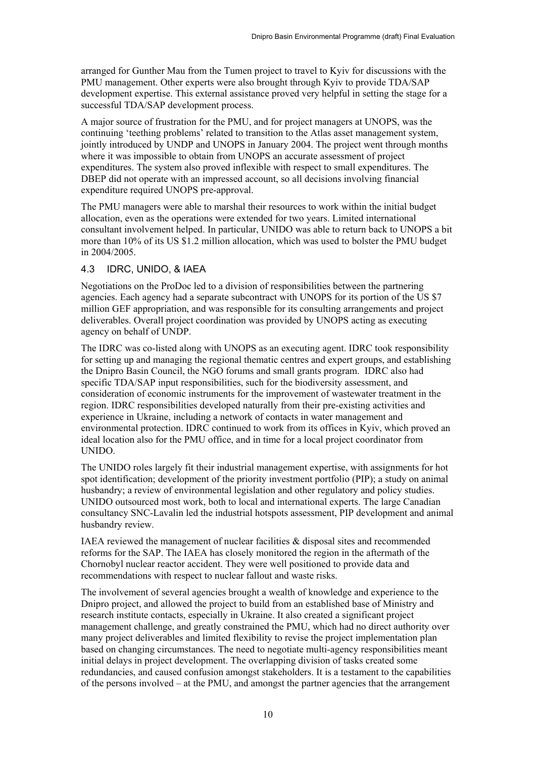arranged for Gunther Mau from the Tumen project to travel to Kyiv for discussions with the PMU management. Other experts were also brought through Kyiv to provide TDA/SAP development expertise. This external assistance proved very helpful in setting the stage for a successful TDA/SAP development process.

A major source of frustration for the PMU, and for project managers at UNOPS, was the continuing 'teething problems' related to transition to the Atlas asset management system, jointly introduced by UNDP and UNOPS in January 2004. The project went through months where it was impossible to obtain from UNOPS an accurate assessment of project expenditures. The system also proved inflexible with respect to small expenditures. The DBEP did not operate with an impressed account, so all decisions involving financial expenditure required UNOPS pre-approval.

The PMU managers were able to marshal their resources to work within the initial budget allocation, even as the operations were extended for two years. Limited international consultant involvement helped. In particular, UNIDO was able to return back to UNOPS a bit more than 10% of its US \$1.2 million allocation, which was used to bolster the PMU budget in 2004/2005.

## <span id="page-12-0"></span>4.3 IDRC, UNIDO, & IAEA

Negotiations on the ProDoc led to a division of responsibilities between the partnering agencies. Each agency had a separate subcontract with UNOPS for its portion of the US \$7 million GEF appropriation, and was responsible for its consulting arrangements and project deliverables. Overall project coordination was provided by UNOPS acting as executing agency on behalf of UNDP.

The IDRC was co-listed along with UNOPS as an executing agent. IDRC took responsibility for setting up and managing the regional thematic centres and expert groups, and establishing the Dnipro Basin Council, the NGO forums and small grants program. IDRC also had specific TDA/SAP input responsibilities, such for the biodiversity assessment, and consideration of economic instruments for the improvement of wastewater treatment in the region. IDRC responsibilities developed naturally from their pre-existing activities and experience in Ukraine, including a network of contacts in water management and environmental protection. IDRC continued to work from its offices in Kyiv, which proved an ideal location also for the PMU office, and in time for a local project coordinator from UNIDO.

The UNIDO roles largely fit their industrial management expertise, with assignments for hot spot identification; development of the priority investment portfolio (PIP); a study on animal husbandry; a review of environmental legislation and other regulatory and policy studies. UNIDO outsourced most work, both to local and international experts. The large Canadian consultancy SNC-Lavalin led the industrial hotspots assessment, PIP development and animal husbandry review.

IAEA reviewed the management of nuclear facilities & disposal sites and recommended reforms for the SAP. The IAEA has closely monitored the region in the aftermath of the Chornobyl nuclear reactor accident. They were well positioned to provide data and recommendations with respect to nuclear fallout and waste risks.

The involvement of several agencies brought a wealth of knowledge and experience to the Dnipro project, and allowed the project to build from an established base of Ministry and research institute contacts, especially in Ukraine. It also created a significant project management challenge, and greatly constrained the PMU, which had no direct authority over many project deliverables and limited flexibility to revise the project implementation plan based on changing circumstances. The need to negotiate multi-agency responsibilities meant initial delays in project development. The overlapping division of tasks created some redundancies, and caused confusion amongst stakeholders. It is a testament to the capabilities of the persons involved – at the PMU, and amongst the partner agencies that the arrangement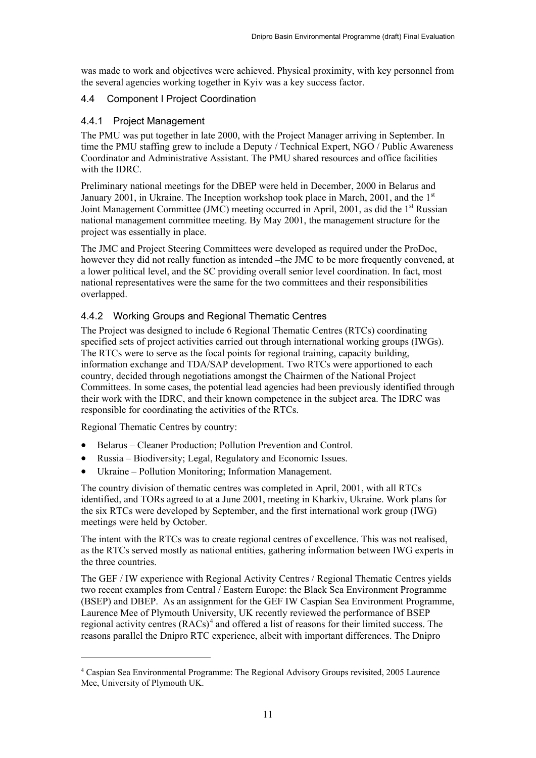was made to work and objectives were achieved. Physical proximity, with key personnel from the several agencies working together in Kyiv was a key success factor.

#### <span id="page-13-0"></span>4.4 Component I Project Coordination

#### <span id="page-13-1"></span>4.4.1 Project Management

The PMU was put together in late 2000, with the Project Manager arriving in September. In time the PMU staffing grew to include a Deputy / Technical Expert, NGO / Public Awareness Coordinator and Administrative Assistant. The PMU shared resources and office facilities with the IDRC.

Preliminary national meetings for the DBEP were held in December, 2000 in Belarus and January 2001, in Ukraine. The Inception workshop took place in March, 2001, and the  $1<sup>st</sup>$ Joint Management Committee (JMC) meeting occurred in April, 2001, as did the 1<sup>st</sup> Russian national management committee meeting. By May 2001, the management structure for the project was essentially in place.

The JMC and Project Steering Committees were developed as required under the ProDoc, however they did not really function as intended –the JMC to be more frequently convened, at a lower political level, and the SC providing overall senior level coordination. In fact, most national representatives were the same for the two committees and their responsibilities overlapped.

#### <span id="page-13-2"></span>4.4.2 Working Groups and Regional Thematic Centres

The Project was designed to include 6 Regional Thematic Centres (RTCs) coordinating specified sets of project activities carried out through international working groups (IWGs). The RTCs were to serve as the focal points for regional training, capacity building, information exchange and TDA/SAP development. Two RTCs were apportioned to each country, decided through negotiations amongst the Chairmen of the National Project Committees. In some cases, the potential lead agencies had been previously identified through their work with the IDRC, and their known competence in the subject area. The IDRC was responsible for coordinating the activities of the RTCs.

Regional Thematic Centres by country:

<u>.</u>

- Belarus Cleaner Production; Pollution Prevention and Control.
- Russia Biodiversity; Legal, Regulatory and Economic Issues.
- Ukraine Pollution Monitoring; Information Management.

The country division of thematic centres was completed in April, 2001, with all RTCs identified, and TORs agreed to at a June 2001, meeting in Kharkiv, Ukraine. Work plans for the six RTCs were developed by September, and the first international work group (IWG) meetings were held by October.

The intent with the RTCs was to create regional centres of excellence. This was not realised, as the RTCs served mostly as national entities, gathering information between IWG experts in the three countries.

The GEF / IW experience with Regional Activity Centres / Regional Thematic Centres yields two recent examples from Central / Eastern Europe: the Black Sea Environment Programme (BSEP) and DBEP. As an assignment for the GEF IW Caspian Sea Environment Programme, Laurence Mee of Plymouth University, UK recently reviewed the performance of BSEP regional activity centres  $(RACs)^4$  $(RACs)^4$  and offered a list of reasons for their limited success. The reasons parallel the Dnipro RTC experience, albeit with important differences. The Dnipro

<span id="page-13-3"></span><sup>4</sup> Caspian Sea Environmental Programme: The Regional Advisory Groups revisited, 2005 Laurence Mee, University of Plymouth UK.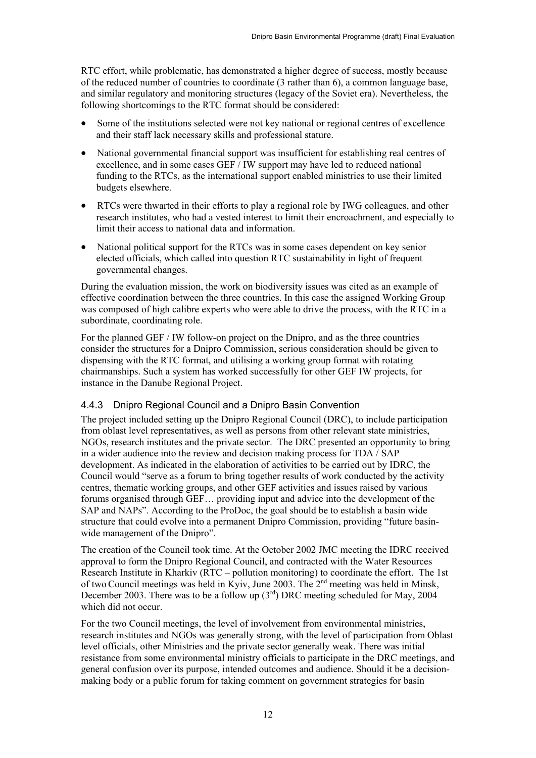RTC effort, while problematic, has demonstrated a higher degree of success, mostly because of the reduced number of countries to coordinate (3 rather than 6), a common language base, and similar regulatory and monitoring structures (legacy of the Soviet era). Nevertheless, the following shortcomings to the RTC format should be considered:

- Some of the institutions selected were not key national or regional centres of excellence and their staff lack necessary skills and professional stature.
- National governmental financial support was insufficient for establishing real centres of excellence, and in some cases GEF / IW support may have led to reduced national funding to the RTCs, as the international support enabled ministries to use their limited budgets elsewhere.
- RTCs were thwarted in their efforts to play a regional role by IWG colleagues, and other research institutes, who had a vested interest to limit their encroachment, and especially to limit their access to national data and information.
- National political support for the RTCs was in some cases dependent on key senior elected officials, which called into question RTC sustainability in light of frequent governmental changes.

During the evaluation mission, the work on biodiversity issues was cited as an example of effective coordination between the three countries. In this case the assigned Working Group was composed of high calibre experts who were able to drive the process, with the RTC in a subordinate, coordinating role.

For the planned GEF / IW follow-on project on the Dnipro, and as the three countries consider the structures for a Dnipro Commission, serious consideration should be given to dispensing with the RTC format, and utilising a working group format with rotating chairmanships. Such a system has worked successfully for other GEF IW projects, for instance in the Danube Regional Project.

#### <span id="page-14-0"></span>4.4.3 Dnipro Regional Council and a Dnipro Basin Convention

The project included setting up the Dnipro Regional Council (DRC), to include participation from oblast level representatives, as well as persons from other relevant state ministries, NGOs, research institutes and the private sector. The DRC presented an opportunity to bring in a wider audience into the review and decision making process for TDA / SAP development. As indicated in the elaboration of activities to be carried out by IDRC, the Council would "serve as a forum to bring together results of work conducted by the activity centres, thematic working groups, and other GEF activities and issues raised by various forums organised through GEF… providing input and advice into the development of the SAP and NAPs". According to the ProDoc, the goal should be to establish a basin wide structure that could evolve into a permanent Dnipro Commission, providing "future basinwide management of the Dnipro".

The creation of the Council took time. At the October 2002 JMC meeting the IDRC received approval to form the Dnipro Regional Council, and contracted with the Water Resources Research Institute in Kharkiv (RTC – pollution monitoring) to coordinate the effort. The 1st of two Council meetings was held in Kyiv, June 2003. The 2<sup>nd</sup> meeting was held in Minsk. December 2003. There was to be a follow up  $(3<sup>rd</sup>)$  DRC meeting scheduled for May, 2004 which did not occur.

For the two Council meetings, the level of involvement from environmental ministries, research institutes and NGOs was generally strong, with the level of participation from Oblast level officials, other Ministries and the private sector generally weak. There was initial resistance from some environmental ministry officials to participate in the DRC meetings, and general confusion over its purpose, intended outcomes and audience. Should it be a decisionmaking body or a public forum for taking comment on government strategies for basin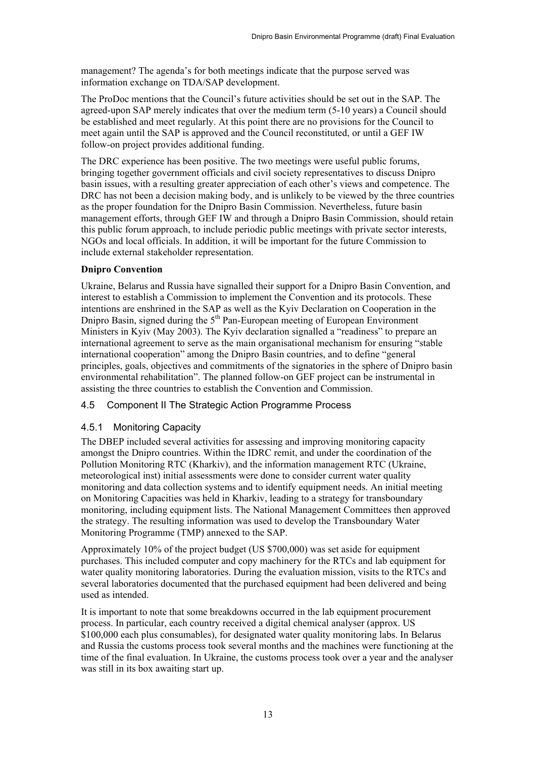management? The agenda's for both meetings indicate that the purpose served was information exchange on TDA/SAP development.

The ProDoc mentions that the Council's future activities should be set out in the SAP. The agreed-upon SAP merely indicates that over the medium term (5-10 years) a Council should be established and meet regularly. At this point there are no provisions for the Council to meet again until the SAP is approved and the Council reconstituted, or until a GEF IW follow-on project provides additional funding.

The DRC experience has been positive. The two meetings were useful public forums, bringing together government officials and civil society representatives to discuss Dnipro basin issues, with a resulting greater appreciation of each other's views and competence. The DRC has not been a decision making body, and is unlikely to be viewed by the three countries as the proper foundation for the Dnipro Basin Commission. Nevertheless, future basin management efforts, through GEF IW and through a Dnipro Basin Commission, should retain this public forum approach, to include periodic public meetings with private sector interests, NGOs and local officials. In addition, it will be important for the future Commission to include external stakeholder representation.

#### **Dnipro Convention**

Ukraine, Belarus and Russia have signalled their support for a Dnipro Basin Convention, and interest to establish a Commission to implement the Convention and its protocols. These intentions are enshrined in the SAP as well as the Kyiv Declaration on Cooperation in the Dnipro Basin, signed during the 5<sup>th</sup> Pan-European meeting of European Environment Ministers in Kyiv (May 2003). The Kyiv declaration signalled a "readiness" to prepare an international agreement to serve as the main organisational mechanism for ensuring "stable international cooperation" among the Dnipro Basin countries, and to define "general principles, goals, objectives and commitments of the signatories in the sphere of Dnipro basin environmental rehabilitation". The planned follow-on GEF project can be instrumental in assisting the three countries to establish the Convention and Commission.

#### <span id="page-15-0"></span>4.5 Component II The Strategic Action Programme Process

#### <span id="page-15-1"></span>4.5.1 Monitoring Capacity

The DBEP included several activities for assessing and improving monitoring capacity amongst the Dnipro countries. Within the IDRC remit, and under the coordination of the Pollution Monitoring RTC (Kharkiv), and the information management RTC (Ukraine, meteorological inst) initial assessments were done to consider current water quality monitoring and data collection systems and to identify equipment needs. An initial meeting on Monitoring Capacities was held in Kharkiv, leading to a strategy for transboundary monitoring, including equipment lists. The National Management Committees then approved the strategy. The resulting information was used to develop the Transboundary Water Monitoring Programme (TMP) annexed to the SAP.

Approximately 10% of the project budget (US \$700,000) was set aside for equipment purchases. This included computer and copy machinery for the RTCs and lab equipment for water quality monitoring laboratories. During the evaluation mission, visits to the RTCs and several laboratories documented that the purchased equipment had been delivered and being used as intended.

It is important to note that some breakdowns occurred in the lab equipment procurement process. In particular, each country received a digital chemical analyser (approx. US \$100,000 each plus consumables), for designated water quality monitoring labs. In Belarus and Russia the customs process took several months and the machines were functioning at the time of the final evaluation. In Ukraine, the customs process took over a year and the analyser was still in its box awaiting start up.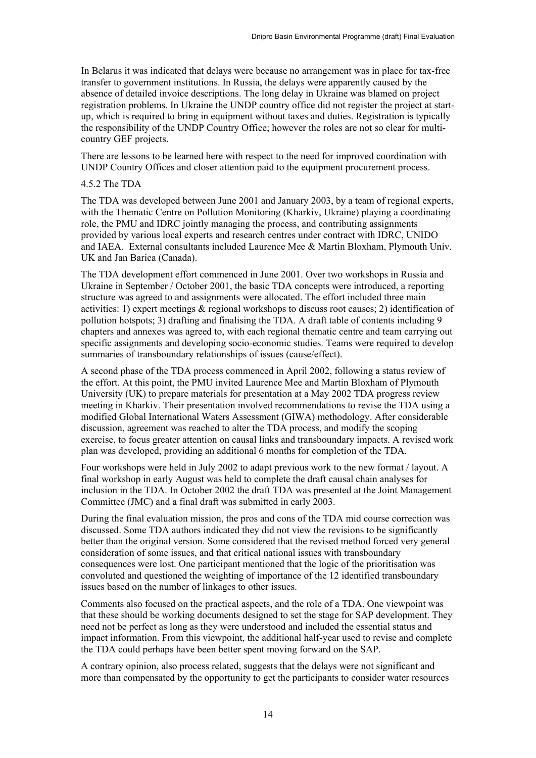In Belarus it was indicated that delays were because no arrangement was in place for tax-free transfer to government institutions. In Russia, the delays were apparently caused by the absence of detailed invoice descriptions. The long delay in Ukraine was blamed on project registration problems. In Ukraine the UNDP country office did not register the project at startup, which is required to bring in equipment without taxes and duties. Registration is typically the responsibility of the UNDP Country Office; however the roles are not so clear for multicountry GEF projects.

There are lessons to be learned here with respect to the need for improved coordination with UNDP Country Offices and closer attention paid to the equipment procurement process.

#### 4.5.2 The TDA

The TDA was developed between June 2001 and January 2003, by a team of regional experts, with the Thematic Centre on Pollution Monitoring (Kharkiv, Ukraine) playing a coordinating role, the PMU and IDRC jointly managing the process, and contributing assignments provided by various local experts and research centres under contract with IDRC, UNIDO and IAEA. External consultants included Laurence Mee & Martin Bloxham, Plymouth Univ. UK and Jan Barica (Canada).

The TDA development effort commenced in June 2001. Over two workshops in Russia and Ukraine in September / October 2001, the basic TDA concepts were introduced, a reporting structure was agreed to and assignments were allocated. The effort included three main activities: 1) expert meetings & regional workshops to discuss root causes; 2) identification of pollution hotspots; 3) drafting and finalising the TDA. A draft table of contents including 9 chapters and annexes was agreed to, with each regional thematic centre and team carrying out specific assignments and developing socio-economic studies. Teams were required to develop summaries of transboundary relationships of issues (cause/effect).

A second phase of the TDA process commenced in April 2002, following a status review of the effort. At this point, the PMU invited Laurence Mee and Martin Bloxham of Plymouth University (UK) to prepare materials for presentation at a May 2002 TDA progress review meeting in Kharkiv. Their presentation involved recommendations to revise the TDA using a modified Global International Waters Assessment (GIWA) methodology. After considerable discussion, agreement was reached to alter the TDA process, and modify the scoping exercise, to focus greater attention on causal links and transboundary impacts. A revised work plan was developed, providing an additional 6 months for completion of the TDA.

Four workshops were held in July 2002 to adapt previous work to the new format / layout. A final workshop in early August was held to complete the draft causal chain analyses for inclusion in the TDA. In October 2002 the draft TDA was presented at the Joint Management Committee (JMC) and a final draft was submitted in early 2003.

During the final evaluation mission, the pros and cons of the TDA mid course correction was discussed. Some TDA authors indicated they did not view the revisions to be significantly better than the original version. Some considered that the revised method forced very general consideration of some issues, and that critical national issues with transboundary consequences were lost. One participant mentioned that the logic of the prioritisation was convoluted and questioned the weighting of importance of the 12 identified transboundary issues based on the number of linkages to other issues.

Comments also focused on the practical aspects, and the role of a TDA. One viewpoint was that these should be working documents designed to set the stage for SAP development. They need not be perfect as long as they were understood and included the essential status and impact information. From this viewpoint, the additional half-year used to revise and complete the TDA could perhaps have been better spent moving forward on the SAP.

A contrary opinion, also process related, suggests that the delays were not significant and more than compensated by the opportunity to get the participants to consider water resources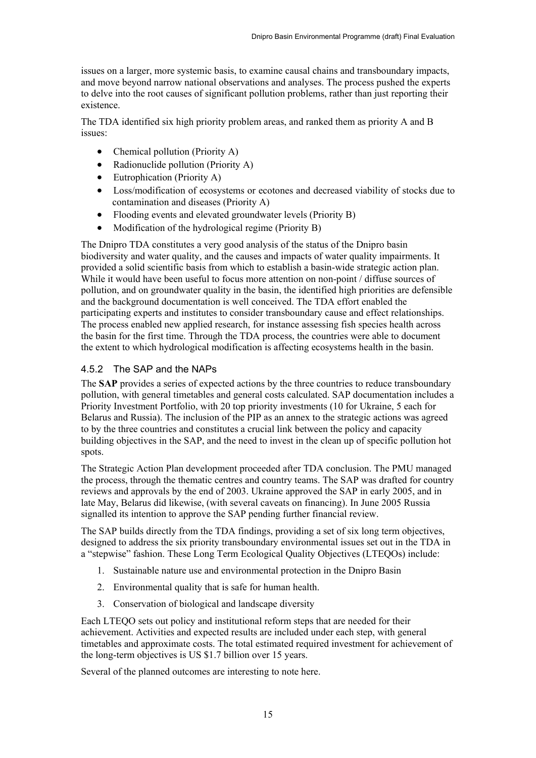issues on a larger, more systemic basis, to examine causal chains and transboundary impacts, and move beyond narrow national observations and analyses. The process pushed the experts to delve into the root causes of significant pollution problems, rather than just reporting their existence.

The TDA identified six high priority problem areas, and ranked them as priority A and B issues:

- Chemical pollution (Priority A)
- Radionuclide pollution (Priority A)
- Eutrophication (Priority A)
- Loss/modification of ecosystems or ecotones and decreased viability of stocks due to contamination and diseases (Priority A)
- Flooding events and elevated groundwater levels (Priority B)
- Modification of the hydrological regime (Priority B)

The Dnipro TDA constitutes a very good analysis of the status of the Dnipro basin biodiversity and water quality, and the causes and impacts of water quality impairments. It provided a solid scientific basis from which to establish a basin-wide strategic action plan. While it would have been useful to focus more attention on non-point / diffuse sources of pollution, and on groundwater quality in the basin, the identified high priorities are defensible and the background documentation is well conceived. The TDA effort enabled the participating experts and institutes to consider transboundary cause and effect relationships. The process enabled new applied research, for instance assessing fish species health across the basin for the first time. Through the TDA process, the countries were able to document the extent to which hydrological modification is affecting ecosystems health in the basin.

#### <span id="page-17-0"></span>4.5.2 The SAP and the NAPs

The **SAP** provides a series of expected actions by the three countries to reduce transboundary pollution, with general timetables and general costs calculated. SAP documentation includes a Priority Investment Portfolio, with 20 top priority investments (10 for Ukraine, 5 each for Belarus and Russia). The inclusion of the PIP as an annex to the strategic actions was agreed to by the three countries and constitutes a crucial link between the policy and capacity building objectives in the SAP, and the need to invest in the clean up of specific pollution hot spots.

The Strategic Action Plan development proceeded after TDA conclusion. The PMU managed the process, through the thematic centres and country teams. The SAP was drafted for country reviews and approvals by the end of 2003. Ukraine approved the SAP in early 2005, and in late May, Belarus did likewise, (with several caveats on financing). In June 2005 Russia signalled its intention to approve the SAP pending further financial review.

The SAP builds directly from the TDA findings, providing a set of six long term objectives, designed to address the six priority transboundary environmental issues set out in the TDA in a "stepwise" fashion. These Long Term Ecological Quality Objectives (LTEQOs) include:

- 1. Sustainable nature use and environmental protection in the Dnipro Basin
- 2. Environmental quality that is safe for human health.
- 3. Conservation of biological and landscape diversity

Each LTEQO sets out policy and institutional reform steps that are needed for their achievement. Activities and expected results are included under each step, with general timetables and approximate costs. The total estimated required investment for achievement of the long-term objectives is US \$1.7 billion over 15 years.

Several of the planned outcomes are interesting to note here.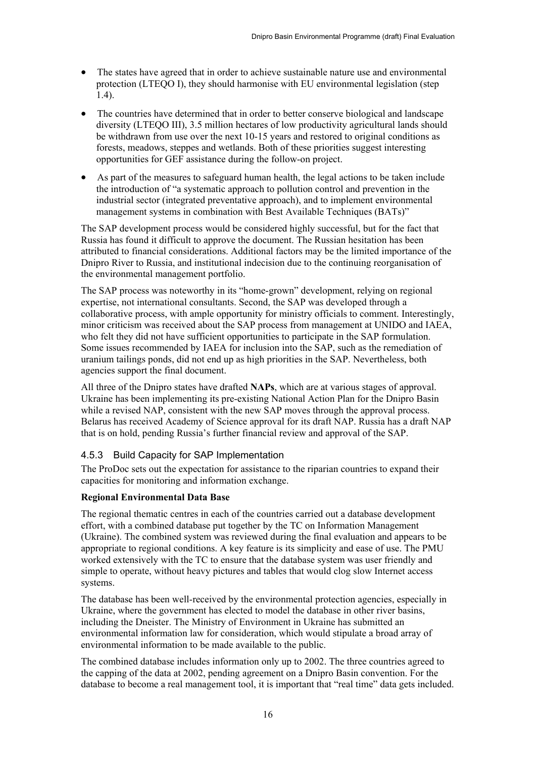- The states have agreed that in order to achieve sustainable nature use and environmental protection (LTEQO I), they should harmonise with EU environmental legislation (step 1.4).
- The countries have determined that in order to better conserve biological and landscape diversity (LTEQO III), 3.5 million hectares of low productivity agricultural lands should be withdrawn from use over the next 10-15 years and restored to original conditions as forests, meadows, steppes and wetlands. Both of these priorities suggest interesting opportunities for GEF assistance during the follow-on project.
- As part of the measures to safeguard human health, the legal actions to be taken include the introduction of "a systematic approach to pollution control and prevention in the industrial sector (integrated preventative approach), and to implement environmental management systems in combination with Best Available Techniques (BATs)"

The SAP development process would be considered highly successful, but for the fact that Russia has found it difficult to approve the document. The Russian hesitation has been attributed to financial considerations. Additional factors may be the limited importance of the Dnipro River to Russia, and institutional indecision due to the continuing reorganisation of the environmental management portfolio.

The SAP process was noteworthy in its "home-grown" development, relying on regional expertise, not international consultants. Second, the SAP was developed through a collaborative process, with ample opportunity for ministry officials to comment. Interestingly, minor criticism was received about the SAP process from management at UNIDO and IAEA, who felt they did not have sufficient opportunities to participate in the SAP formulation. Some issues recommended by IAEA for inclusion into the SAP, such as the remediation of uranium tailings ponds, did not end up as high priorities in the SAP. Nevertheless, both agencies support the final document.

All three of the Dnipro states have drafted **NAPs**, which are at various stages of approval. Ukraine has been implementing its pre-existing National Action Plan for the Dnipro Basin while a revised NAP, consistent with the new SAP moves through the approval process. Belarus has received Academy of Science approval for its draft NAP. Russia has a draft NAP that is on hold, pending Russia's further financial review and approval of the SAP.

#### <span id="page-18-0"></span>4.5.3 Build Capacity for SAP Implementation

The ProDoc sets out the expectation for assistance to the riparian countries to expand their capacities for monitoring and information exchange.

#### **Regional Environmental Data Base**

The regional thematic centres in each of the countries carried out a database development effort, with a combined database put together by the TC on Information Management (Ukraine). The combined system was reviewed during the final evaluation and appears to be appropriate to regional conditions. A key feature is its simplicity and ease of use. The PMU worked extensively with the TC to ensure that the database system was user friendly and simple to operate, without heavy pictures and tables that would clog slow Internet access systems.

The database has been well-received by the environmental protection agencies, especially in Ukraine, where the government has elected to model the database in other river basins, including the Dneister. The Ministry of Environment in Ukraine has submitted an environmental information law for consideration, which would stipulate a broad array of environmental information to be made available to the public.

The combined database includes information only up to 2002. The three countries agreed to the capping of the data at 2002, pending agreement on a Dnipro Basin convention. For the database to become a real management tool, it is important that "real time" data gets included.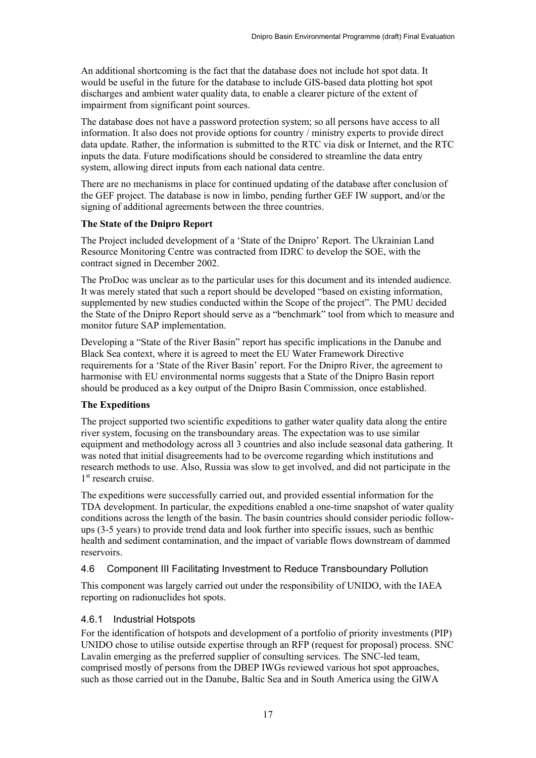An additional shortcoming is the fact that the database does not include hot spot data. It would be useful in the future for the database to include GIS-based data plotting hot spot discharges and ambient water quality data, to enable a clearer picture of the extent of impairment from significant point sources.

The database does not have a password protection system; so all persons have access to all information. It also does not provide options for country / ministry experts to provide direct data update. Rather, the information is submitted to the RTC via disk or Internet, and the RTC inputs the data. Future modifications should be considered to streamline the data entry system, allowing direct inputs from each national data centre.

There are no mechanisms in place for continued updating of the database after conclusion of the GEF project. The database is now in limbo, pending further GEF IW support, and/or the signing of additional agreements between the three countries.

#### **The State of the Dnipro Report**

The Project included development of a 'State of the Dnipro' Report. The Ukrainian Land Resource Monitoring Centre was contracted from IDRC to develop the SOE, with the contract signed in December 2002.

The ProDoc was unclear as to the particular uses for this document and its intended audience. It was merely stated that such a report should be developed "based on existing information, supplemented by new studies conducted within the Scope of the project". The PMU decided the State of the Dnipro Report should serve as a "benchmark" tool from which to measure and monitor future SAP implementation.

Developing a "State of the River Basin" report has specific implications in the Danube and Black Sea context, where it is agreed to meet the EU Water Framework Directive requirements for a 'State of the River Basin' report. For the Dnipro River, the agreement to harmonise with EU environmental norms suggests that a State of the Dnipro Basin report should be produced as a key output of the Dnipro Basin Commission, once established.

#### **The Expeditions**

The project supported two scientific expeditions to gather water quality data along the entire river system, focusing on the transboundary areas. The expectation was to use similar equipment and methodology across all 3 countries and also include seasonal data gathering. It was noted that initial disagreements had to be overcome regarding which institutions and research methods to use. Also, Russia was slow to get involved, and did not participate in the 1<sup>st</sup> research cruise.

The expeditions were successfully carried out, and provided essential information for the TDA development. In particular, the expeditions enabled a one-time snapshot of water quality conditions across the length of the basin. The basin countries should consider periodic followups (3-5 years) to provide trend data and look further into specific issues, such as benthic health and sediment contamination, and the impact of variable flows downstream of dammed reservoirs.

#### <span id="page-19-0"></span>4.6 Component III Facilitating Investment to Reduce Transboundary Pollution

This component was largely carried out under the responsibility of UNIDO, with the IAEA reporting on radionuclides hot spots.

#### <span id="page-19-1"></span>4.6.1 Industrial Hotspots

For the identification of hotspots and development of a portfolio of priority investments (PIP) UNIDO chose to utilise outside expertise through an RFP (request for proposal) process. SNC Lavalin emerging as the preferred supplier of consulting services. The SNC-led team, comprised mostly of persons from the DBEP IWGs reviewed various hot spot approaches, such as those carried out in the Danube, Baltic Sea and in South America using the GIWA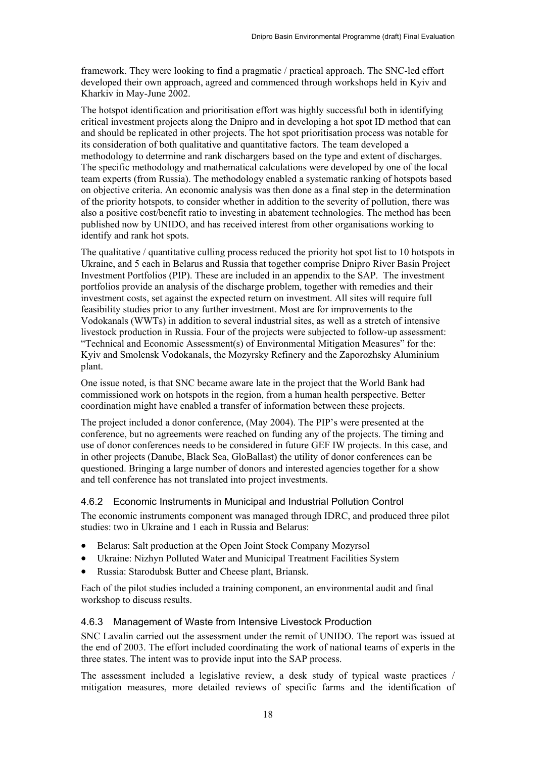framework. They were looking to find a pragmatic / practical approach. The SNC-led effort developed their own approach, agreed and commenced through workshops held in Kyiv and Kharkiv in May-June 2002.

The hotspot identification and prioritisation effort was highly successful both in identifying critical investment projects along the Dnipro and in developing a hot spot ID method that can and should be replicated in other projects. The hot spot prioritisation process was notable for its consideration of both qualitative and quantitative factors. The team developed a methodology to determine and rank dischargers based on the type and extent of discharges. The specific methodology and mathematical calculations were developed by one of the local team experts (from Russia). The methodology enabled a systematic ranking of hotspots based on objective criteria. An economic analysis was then done as a final step in the determination of the priority hotspots, to consider whether in addition to the severity of pollution, there was also a positive cost/benefit ratio to investing in abatement technologies. The method has been published now by UNIDO, and has received interest from other organisations working to identify and rank hot spots.

The qualitative / quantitative culling process reduced the priority hot spot list to 10 hotspots in Ukraine, and 5 each in Belarus and Russia that together comprise Dnipro River Basin Project Investment Portfolios (PIP). These are included in an appendix to the SAP. The investment portfolios provide an analysis of the discharge problem, together with remedies and their investment costs, set against the expected return on investment. All sites will require full feasibility studies prior to any further investment. Most are for improvements to the Vodokanals (WWTs) in addition to several industrial sites, as well as a stretch of intensive livestock production in Russia. Four of the projects were subjected to follow-up assessment: "Technical and Economic Assessment(s) of Environmental Mitigation Measures" for the: Kyiv and Smolensk Vodokanals, the Mozyrsky Refinery and the Zaporozhsky Aluminium plant.

One issue noted, is that SNC became aware late in the project that the World Bank had commissioned work on hotspots in the region, from a human health perspective. Better coordination might have enabled a transfer of information between these projects.

The project included a donor conference, (May 2004). The PIP's were presented at the conference, but no agreements were reached on funding any of the projects. The timing and use of donor conferences needs to be considered in future GEF IW projects. In this case, and in other projects (Danube, Black Sea, GloBallast) the utility of donor conferences can be questioned. Bringing a large number of donors and interested agencies together for a show and tell conference has not translated into project investments.

#### <span id="page-20-0"></span>4.6.2 Economic Instruments in Municipal and Industrial Pollution Control

The economic instruments component was managed through IDRC, and produced three pilot studies: two in Ukraine and 1 each in Russia and Belarus:

- Belarus: Salt production at the Open Joint Stock Company Mozyrsol
- Ukraine: Nizhyn Polluted Water and Municipal Treatment Facilities System
- Russia: Starodubsk Butter and Cheese plant, Briansk.

Each of the pilot studies included a training component, an environmental audit and final workshop to discuss results.

#### <span id="page-20-1"></span>4.6.3 Management of Waste from Intensive Livestock Production

SNC Lavalin carried out the assessment under the remit of UNIDO. The report was issued at the end of 2003. The effort included coordinating the work of national teams of experts in the three states. The intent was to provide input into the SAP process.

The assessment included a legislative review, a desk study of typical waste practices / mitigation measures, more detailed reviews of specific farms and the identification of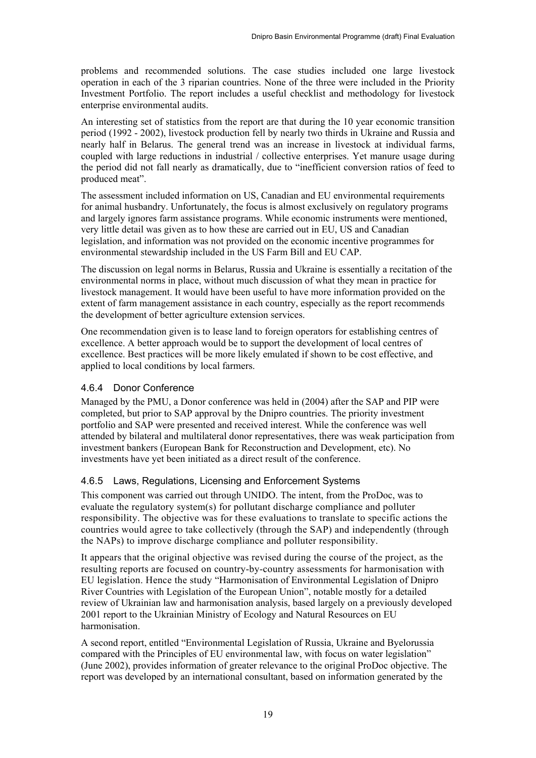problems and recommended solutions. The case studies included one large livestock operation in each of the 3 riparian countries. None of the three were included in the Priority Investment Portfolio. The report includes a useful checklist and methodology for livestock enterprise environmental audits.

An interesting set of statistics from the report are that during the 10 year economic transition period (1992 - 2002), livestock production fell by nearly two thirds in Ukraine and Russia and nearly half in Belarus. The general trend was an increase in livestock at individual farms, coupled with large reductions in industrial / collective enterprises. Yet manure usage during the period did not fall nearly as dramatically, due to "inefficient conversion ratios of feed to produced meat".

The assessment included information on US, Canadian and EU environmental requirements for animal husbandry. Unfortunately, the focus is almost exclusively on regulatory programs and largely ignores farm assistance programs. While economic instruments were mentioned, very little detail was given as to how these are carried out in EU, US and Canadian legislation, and information was not provided on the economic incentive programmes for environmental stewardship included in the US Farm Bill and EU CAP.

The discussion on legal norms in Belarus, Russia and Ukraine is essentially a recitation of the environmental norms in place, without much discussion of what they mean in practice for livestock management. It would have been useful to have more information provided on the extent of farm management assistance in each country, especially as the report recommends the development of better agriculture extension services.

One recommendation given is to lease land to foreign operators for establishing centres of excellence. A better approach would be to support the development of local centres of excellence. Best practices will be more likely emulated if shown to be cost effective, and applied to local conditions by local farmers.

#### <span id="page-21-0"></span>4.6.4 Donor Conference

Managed by the PMU, a Donor conference was held in (2004) after the SAP and PIP were completed, but prior to SAP approval by the Dnipro countries. The priority investment portfolio and SAP were presented and received interest. While the conference was well attended by bilateral and multilateral donor representatives, there was weak participation from investment bankers (European Bank for Reconstruction and Development, etc). No investments have yet been initiated as a direct result of the conference.

## <span id="page-21-1"></span>4.6.5 Laws, Regulations, Licensing and Enforcement Systems

This component was carried out through UNIDO. The intent, from the ProDoc, was to evaluate the regulatory system(s) for pollutant discharge compliance and polluter responsibility. The objective was for these evaluations to translate to specific actions the countries would agree to take collectively (through the SAP) and independently (through the NAPs) to improve discharge compliance and polluter responsibility.

It appears that the original objective was revised during the course of the project, as the resulting reports are focused on country-by-country assessments for harmonisation with EU legislation. Hence the study "Harmonisation of Environmental Legislation of Dnipro River Countries with Legislation of the European Union", notable mostly for a detailed review of Ukrainian law and harmonisation analysis, based largely on a previously developed 2001 report to the Ukrainian Ministry of Ecology and Natural Resources on EU harmonisation.

A second report, entitled "Environmental Legislation of Russia, Ukraine and Byelorussia compared with the Principles of EU environmental law, with focus on water legislation" (June 2002), provides information of greater relevance to the original ProDoc objective. The report was developed by an international consultant, based on information generated by the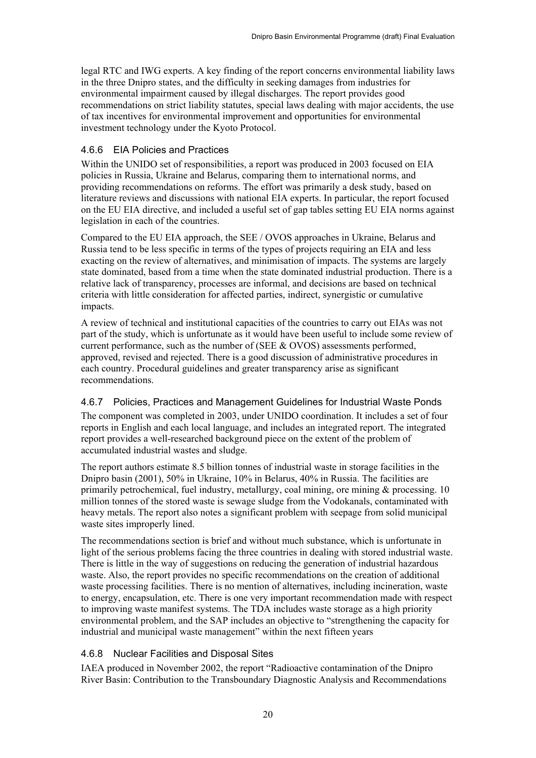legal RTC and IWG experts. A key finding of the report concerns environmental liability laws in the three Dnipro states, and the difficulty in seeking damages from industries for environmental impairment caused by illegal discharges. The report provides good recommendations on strict liability statutes, special laws dealing with major accidents, the use of tax incentives for environmental improvement and opportunities for environmental investment technology under the Kyoto Protocol.

### <span id="page-22-0"></span>4.6.6 EIA Policies and Practices

Within the UNIDO set of responsibilities, a report was produced in 2003 focused on EIA policies in Russia, Ukraine and Belarus, comparing them to international norms, and providing recommendations on reforms. The effort was primarily a desk study, based on literature reviews and discussions with national EIA experts. In particular, the report focused on the EU EIA directive, and included a useful set of gap tables setting EU EIA norms against legislation in each of the countries.

Compared to the EU EIA approach, the SEE / OVOS approaches in Ukraine, Belarus and Russia tend to be less specific in terms of the types of projects requiring an EIA and less exacting on the review of alternatives, and minimisation of impacts. The systems are largely state dominated, based from a time when the state dominated industrial production. There is a relative lack of transparency, processes are informal, and decisions are based on technical criteria with little consideration for affected parties, indirect, synergistic or cumulative impacts.

A review of technical and institutional capacities of the countries to carry out EIAs was not part of the study, which is unfortunate as it would have been useful to include some review of current performance, such as the number of (SEE & OVOS) assessments performed, approved, revised and rejected. There is a good discussion of administrative procedures in each country. Procedural guidelines and greater transparency arise as significant recommendations.

## <span id="page-22-1"></span>4.6.7 Policies, Practices and Management Guidelines for Industrial Waste Ponds

The component was completed in 2003, under UNIDO coordination. It includes a set of four reports in English and each local language, and includes an integrated report. The integrated report provides a well-researched background piece on the extent of the problem of accumulated industrial wastes and sludge.

The report authors estimate 8.5 billion tonnes of industrial waste in storage facilities in the Dnipro basin (2001), 50% in Ukraine, 10% in Belarus, 40% in Russia. The facilities are primarily petrochemical, fuel industry, metallurgy, coal mining, ore mining & processing. 10 million tonnes of the stored waste is sewage sludge from the Vodokanals, contaminated with heavy metals. The report also notes a significant problem with seepage from solid municipal waste sites improperly lined.

The recommendations section is brief and without much substance, which is unfortunate in light of the serious problems facing the three countries in dealing with stored industrial waste. There is little in the way of suggestions on reducing the generation of industrial hazardous waste. Also, the report provides no specific recommendations on the creation of additional waste processing facilities. There is no mention of alternatives, including incineration, waste to energy, encapsulation, etc. There is one very important recommendation made with respect to improving waste manifest systems. The TDA includes waste storage as a high priority environmental problem, and the SAP includes an objective to "strengthening the capacity for industrial and municipal waste management" within the next fifteen years

## <span id="page-22-2"></span>4.6.8 Nuclear Facilities and Disposal Sites

IAEA produced in November 2002, the report "Radioactive contamination of the Dnipro River Basin: Contribution to the Transboundary Diagnostic Analysis and Recommendations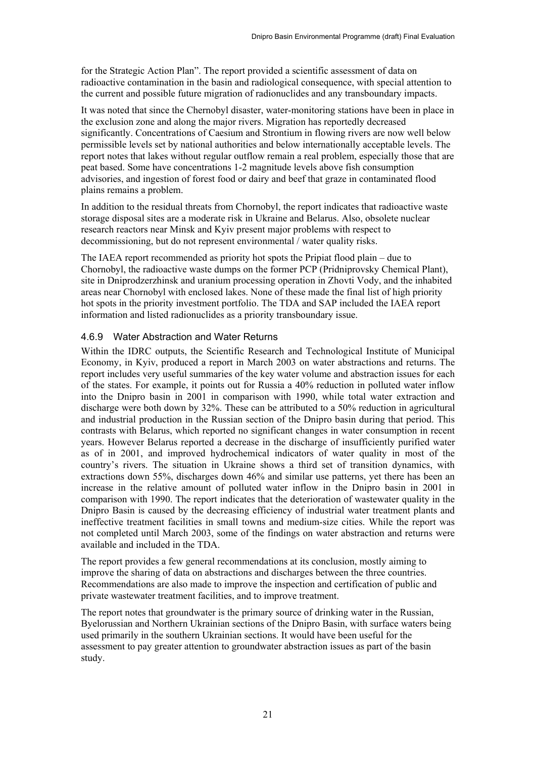for the Strategic Action Plan". The report provided a scientific assessment of data on radioactive contamination in the basin and radiological consequence, with special attention to the current and possible future migration of radionuclides and any transboundary impacts.

It was noted that since the Chernobyl disaster, water-monitoring stations have been in place in the exclusion zone and along the major rivers. Migration has reportedly decreased significantly. Concentrations of Caesium and Strontium in flowing rivers are now well below permissible levels set by national authorities and below internationally acceptable levels. The report notes that lakes without regular outflow remain a real problem, especially those that are peat based. Some have concentrations 1-2 magnitude levels above fish consumption advisories, and ingestion of forest food or dairy and beef that graze in contaminated flood plains remains a problem.

In addition to the residual threats from Chornobyl, the report indicates that radioactive waste storage disposal sites are a moderate risk in Ukraine and Belarus. Also, obsolete nuclear research reactors near Minsk and Kyiv present major problems with respect to decommissioning, but do not represent environmental / water quality risks.

The IAEA report recommended as priority hot spots the Pripiat flood plain – due to Chornobyl, the radioactive waste dumps on the former PCP (Pridniprovsky Chemical Plant), site in Dniprodzerzhinsk and uranium processing operation in Zhovti Vody, and the inhabited areas near Chornobyl with enclosed lakes. None of these made the final list of high priority hot spots in the priority investment portfolio. The TDA and SAP included the IAEA report information and listed radionuclides as a priority transboundary issue.

## <span id="page-23-0"></span>4.6.9 Water Abstraction and Water Returns

Within the IDRC outputs, the Scientific Research and Technological Institute of Municipal Economy, in Kyiv, produced a report in March 2003 on water abstractions and returns. The report includes very useful summaries of the key water volume and abstraction issues for each of the states. For example, it points out for Russia a 40% reduction in polluted water inflow into the Dnipro basin in 2001 in comparison with 1990, while total water extraction and discharge were both down by 32%. These can be attributed to a 50% reduction in agricultural and industrial production in the Russian section of the Dnipro basin during that period. This contrasts with Belarus, which reported no significant changes in water consumption in recent years. However Belarus reported a decrease in the discharge of insufficiently purified water as of in 2001, and improved hydrochemical indicators of water quality in most of the country's rivers. The situation in Ukraine shows a third set of transition dynamics, with extractions down 55%, discharges down 46% and similar use patterns, yet there has been an increase in the relative amount of polluted water inflow in the Dnipro basin in 2001 in comparison with 1990. The report indicates that the deterioration of wastewater quality in the Dnipro Basin is caused by the decreasing efficiency of industrial water treatment plants and ineffective treatment facilities in small towns and medium-size cities. While the report was not completed until March 2003, some of the findings on water abstraction and returns were available and included in the TDA.

The report provides a few general recommendations at its conclusion, mostly aiming to improve the sharing of data on abstractions and discharges between the three countries. Recommendations are also made to improve the inspection and certification of public and private wastewater treatment facilities, and to improve treatment.

The report notes that groundwater is the primary source of drinking water in the Russian, Byelorussian and Northern Ukrainian sections of the Dnipro Basin, with surface waters being used primarily in the southern Ukrainian sections. It would have been useful for the assessment to pay greater attention to groundwater abstraction issues as part of the basin study.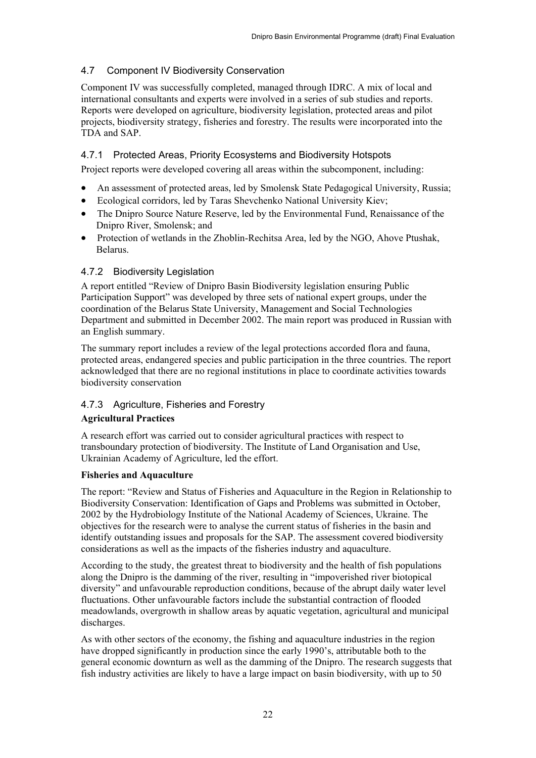## <span id="page-24-0"></span>4.7 Component IV Biodiversity Conservation

Component IV was successfully completed, managed through IDRC. A mix of local and international consultants and experts were involved in a series of sub studies and reports. Reports were developed on agriculture, biodiversity legislation, protected areas and pilot projects, biodiversity strategy, fisheries and forestry. The results were incorporated into the TDA and SAP.

## <span id="page-24-1"></span>4.7.1 Protected Areas, Priority Ecosystems and Biodiversity Hotspots

Project reports were developed covering all areas within the subcomponent, including:

- An assessment of protected areas, led by Smolensk State Pedagogical University, Russia;
- Ecological corridors, led by Taras Shevchenko National University Kiev;
- The Dnipro Source Nature Reserve, led by the Environmental Fund, Renaissance of the Dnipro River, Smolensk; and
- Protection of wetlands in the Zhoblin-Rechitsa Area, led by the NGO, Ahove Ptushak, Belarus.

#### <span id="page-24-2"></span>4.7.2 Biodiversity Legislation

A report entitled "Review of Dnipro Basin Biodiversity legislation ensuring Public Participation Support" was developed by three sets of national expert groups, under the coordination of the Belarus State University, Management and Social Technologies Department and submitted in December 2002. The main report was produced in Russian with an English summary.

The summary report includes a review of the legal protections accorded flora and fauna, protected areas, endangered species and public participation in the three countries. The report acknowledged that there are no regional institutions in place to coordinate activities towards biodiversity conservation

#### <span id="page-24-3"></span>4.7.3 Agriculture, Fisheries and Forestry

#### **Agricultural Practices**

A research effort was carried out to consider agricultural practices with respect to transboundary protection of biodiversity. The Institute of Land Organisation and Use, Ukrainian Academy of Agriculture, led the effort.

#### **Fisheries and Aquaculture**

The report: "Review and Status of Fisheries and Aquaculture in the Region in Relationship to Biodiversity Conservation: Identification of Gaps and Problems was submitted in October, 2002 by the Hydrobiology Institute of the National Academy of Sciences, Ukraine. The objectives for the research were to analyse the current status of fisheries in the basin and identify outstanding issues and proposals for the SAP. The assessment covered biodiversity considerations as well as the impacts of the fisheries industry and aquaculture.

According to the study, the greatest threat to biodiversity and the health of fish populations along the Dnipro is the damming of the river, resulting in "impoverished river biotopical diversity" and unfavourable reproduction conditions, because of the abrupt daily water level fluctuations. Other unfavourable factors include the substantial contraction of flooded meadowlands, overgrowth in shallow areas by aquatic vegetation, agricultural and municipal discharges.

As with other sectors of the economy, the fishing and aquaculture industries in the region have dropped significantly in production since the early 1990's, attributable both to the general economic downturn as well as the damming of the Dnipro. The research suggests that fish industry activities are likely to have a large impact on basin biodiversity, with up to 50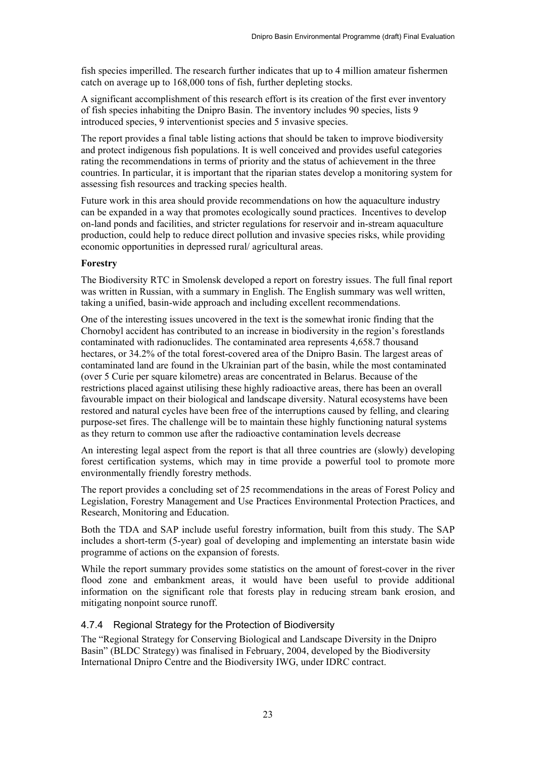fish species imperilled. The research further indicates that up to 4 million amateur fishermen catch on average up to 168,000 tons of fish, further depleting stocks.

A significant accomplishment of this research effort is its creation of the first ever inventory of fish species inhabiting the Dnipro Basin. The inventory includes 90 species, lists 9 introduced species, 9 interventionist species and 5 invasive species.

The report provides a final table listing actions that should be taken to improve biodiversity and protect indigenous fish populations. It is well conceived and provides useful categories rating the recommendations in terms of priority and the status of achievement in the three countries. In particular, it is important that the riparian states develop a monitoring system for assessing fish resources and tracking species health.

Future work in this area should provide recommendations on how the aquaculture industry can be expanded in a way that promotes ecologically sound practices. Incentives to develop on-land ponds and facilities, and stricter regulations for reservoir and in-stream aquaculture production, could help to reduce direct pollution and invasive species risks, while providing economic opportunities in depressed rural/ agricultural areas.

#### **Forestry**

The Biodiversity RTC in Smolensk developed a report on forestry issues. The full final report was written in Russian, with a summary in English. The English summary was well written, taking a unified, basin-wide approach and including excellent recommendations.

One of the interesting issues uncovered in the text is the somewhat ironic finding that the Chornobyl accident has contributed to an increase in biodiversity in the region's forestlands contaminated with radionuclides. The contaminated area represents 4,658.7 thousand hectares, or 34.2% of the total forest-covered area of the Dnipro Basin. The largest areas of contaminated land are found in the Ukrainian part of the basin, while the most contaminated (over 5 Curie per square kilometre) areas are concentrated in Belarus. Because of the restrictions placed against utilising these highly radioactive areas, there has been an overall favourable impact on their biological and landscape diversity. Natural ecosystems have been restored and natural cycles have been free of the interruptions caused by felling, and clearing purpose-set fires. The challenge will be to maintain these highly functioning natural systems as they return to common use after the radioactive contamination levels decrease

An interesting legal aspect from the report is that all three countries are (slowly) developing forest certification systems, which may in time provide a powerful tool to promote more environmentally friendly forestry methods.

The report provides a concluding set of 25 recommendations in the areas of Forest Policy and Legislation, Forestry Management and Use Practices Environmental Protection Practices, and Research, Monitoring and Education.

Both the TDA and SAP include useful forestry information, built from this study. The SAP includes a short-term (5-year) goal of developing and implementing an interstate basin wide programme of actions on the expansion of forests.

While the report summary provides some statistics on the amount of forest-cover in the river flood zone and embankment areas, it would have been useful to provide additional information on the significant role that forests play in reducing stream bank erosion, and mitigating nonpoint source runoff.

#### <span id="page-25-0"></span>4.7.4 Regional Strategy for the Protection of Biodiversity

The "Regional Strategy for Conserving Biological and Landscape Diversity in the Dnipro Basin" (BLDC Strategy) was finalised in February, 2004, developed by the Biodiversity International Dnipro Centre and the Biodiversity IWG, under IDRC contract.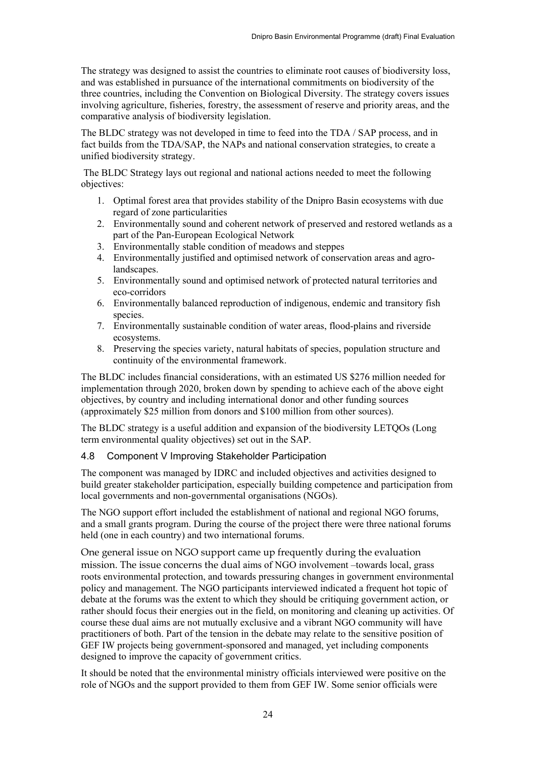The strategy was designed to assist the countries to eliminate root causes of biodiversity loss, and was established in pursuance of the international commitments on biodiversity of the three countries, including the Convention on Biological Diversity. The strategy covers issues involving agriculture, fisheries, forestry, the assessment of reserve and priority areas, and the comparative analysis of biodiversity legislation.

The BLDC strategy was not developed in time to feed into the TDA / SAP process, and in fact builds from the TDA/SAP, the NAPs and national conservation strategies, to create a unified biodiversity strategy.

The BLDC Strategy lays out regional and national actions needed to meet the following objectives:

- 1. Optimal forest area that provides stability of the Dnipro Basin ecosystems with due regard of zone particularities
- 2. Environmentally sound and coherent network of preserved and restored wetlands as a part of the Pan-European Ecological Network
- 3. Environmentally stable condition of meadows and steppes
- 4. Environmentally justified and optimised network of conservation areas and agrolandscapes.
- 5. Environmentally sound and optimised network of protected natural territories and eco-corridors
- 6. Environmentally balanced reproduction of indigenous, endemic and transitory fish species.
- 7. Environmentally sustainable condition of water areas, flood-plains and riverside ecosystems.
- 8. Preserving the species variety, natural habitats of species, population structure and continuity of the environmental framework.

The BLDC includes financial considerations, with an estimated US \$276 million needed for implementation through 2020, broken down by spending to achieve each of the above eight objectives, by country and including international donor and other funding sources (approximately \$25 million from donors and \$100 million from other sources).

The BLDC strategy is a useful addition and expansion of the biodiversity LETQOs (Long term environmental quality objectives) set out in the SAP.

#### <span id="page-26-0"></span>4.8 Component V Improving Stakeholder Participation

The component was managed by IDRC and included objectives and activities designed to build greater stakeholder participation, especially building competence and participation from local governments and non-governmental organisations (NGOs).

The NGO support effort included the establishment of national and regional NGO forums, and a small grants program. During the course of the project there were three national forums held (one in each country) and two international forums.

One general issue on NGO support came up frequently during the evaluation mission. The issue concerns the dual aims of NGO involvement –towards local, grass roots environmental protection, and towards pressuring changes in government environmental policy and management. The NGO participants interviewed indicated a frequent hot topic of debate at the forums was the extent to which they should be critiquing government action, or rather should focus their energies out in the field, on monitoring and cleaning up activities. Of course these dual aims are not mutually exclusive and a vibrant NGO community will have practitioners of both. Part of the tension in the debate may relate to the sensitive position of GEF IW projects being government-sponsored and managed, yet including components designed to improve the capacity of government critics.

It should be noted that the environmental ministry officials interviewed were positive on the role of NGOs and the support provided to them from GEF IW. Some senior officials were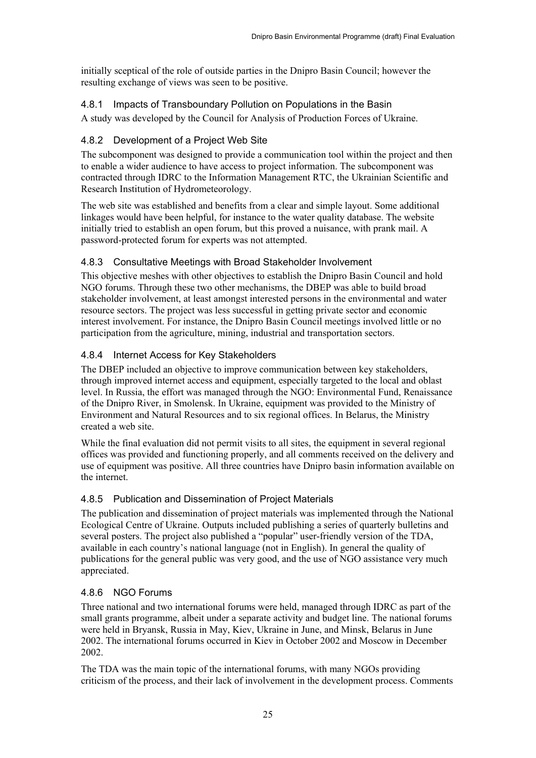initially sceptical of the role of outside parties in the Dnipro Basin Council; however the resulting exchange of views was seen to be positive.

## <span id="page-27-0"></span>4.8.1 Impacts of Transboundary Pollution on Populations in the Basin

A study was developed by the Council for Analysis of Production Forces of Ukraine.

## <span id="page-27-1"></span>4.8.2 Development of a Project Web Site

The subcomponent was designed to provide a communication tool within the project and then to enable a wider audience to have access to project information. The subcomponent was contracted through IDRC to the Information Management RTC, the Ukrainian Scientific and Research Institution of Hydrometeorology.

The web site was established and benefits from a clear and simple layout. Some additional linkages would have been helpful, for instance to the water quality database. The website initially tried to establish an open forum, but this proved a nuisance, with prank mail. A password-protected forum for experts was not attempted.

## <span id="page-27-2"></span>4.8.3 Consultative Meetings with Broad Stakeholder Involvement

This objective meshes with other objectives to establish the Dnipro Basin Council and hold NGO forums. Through these two other mechanisms, the DBEP was able to build broad stakeholder involvement, at least amongst interested persons in the environmental and water resource sectors. The project was less successful in getting private sector and economic interest involvement. For instance, the Dnipro Basin Council meetings involved little or no participation from the agriculture, mining, industrial and transportation sectors.

## <span id="page-27-3"></span>4.8.4 Internet Access for Key Stakeholders

The DBEP included an objective to improve communication between key stakeholders, through improved internet access and equipment, especially targeted to the local and oblast level. In Russia, the effort was managed through the NGO: Environmental Fund, Renaissance of the Dnipro River, in Smolensk. In Ukraine, equipment was provided to the Ministry of Environment and Natural Resources and to six regional offices. In Belarus, the Ministry created a web site.

While the final evaluation did not permit visits to all sites, the equipment in several regional offices was provided and functioning properly, and all comments received on the delivery and use of equipment was positive. All three countries have Dnipro basin information available on the internet.

## <span id="page-27-4"></span>4.8.5 Publication and Dissemination of Project Materials

The publication and dissemination of project materials was implemented through the National Ecological Centre of Ukraine. Outputs included publishing a series of quarterly bulletins and several posters. The project also published a "popular" user-friendly version of the TDA, available in each country's national language (not in English). In general the quality of publications for the general public was very good, and the use of NGO assistance very much appreciated.

#### <span id="page-27-5"></span>4.8.6 NGO Forums

Three national and two international forums were held, managed through IDRC as part of the small grants programme, albeit under a separate activity and budget line. The national forums were held in Bryansk, Russia in May, Kiev, Ukraine in June, and Minsk, Belarus in June 2002. The international forums occurred in Kiev in October 2002 and Moscow in December 2002.

The TDA was the main topic of the international forums, with many NGOs providing criticism of the process, and their lack of involvement in the development process. Comments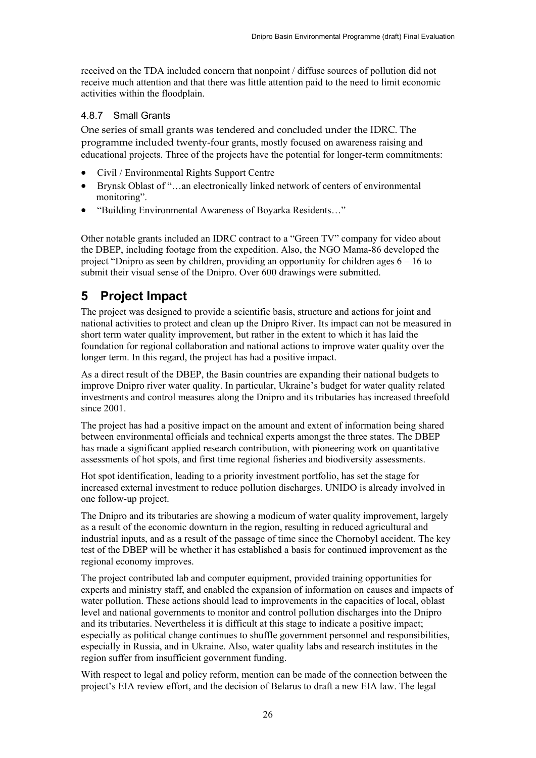received on the TDA included concern that nonpoint / diffuse sources of pollution did not receive much attention and that there was little attention paid to the need to limit economic activities within the floodplain.

#### <span id="page-28-0"></span>4.8.7 Small Grants

One series of small grants was tendered and concluded under the IDRC. The programme included twenty-four grants, mostly focused on awareness raising and educational projects. Three of the projects have the potential for longer-term commitments:

- Civil / Environmental Rights Support Centre
- Brynsk Oblast of "…an electronically linked network of centers of environmental monitoring".
- "Building Environmental Awareness of Boyarka Residents…"

Other notable grants included an IDRC contract to a "Green TV" company for video about the DBEP, including footage from the expedition. Also, the NGO Mama-86 developed the project "Dnipro as seen by children, providing an opportunity for children ages 6 – 16 to submit their visual sense of the Dnipro. Over 600 drawings were submitted.

## <span id="page-28-1"></span>**5 Project Impact**

The project was designed to provide a scientific basis, structure and actions for joint and national activities to protect and clean up the Dnipro River. Its impact can not be measured in short term water quality improvement, but rather in the extent to which it has laid the foundation for regional collaboration and national actions to improve water quality over the longer term. In this regard, the project has had a positive impact.

As a direct result of the DBEP, the Basin countries are expanding their national budgets to improve Dnipro river water quality. In particular, Ukraine's budget for water quality related investments and control measures along the Dnipro and its tributaries has increased threefold since 2001.

The project has had a positive impact on the amount and extent of information being shared between environmental officials and technical experts amongst the three states. The DBEP has made a significant applied research contribution, with pioneering work on quantitative assessments of hot spots, and first time regional fisheries and biodiversity assessments.

Hot spot identification, leading to a priority investment portfolio, has set the stage for increased external investment to reduce pollution discharges. UNIDO is already involved in one follow-up project.

The Dnipro and its tributaries are showing a modicum of water quality improvement, largely as a result of the economic downturn in the region, resulting in reduced agricultural and industrial inputs, and as a result of the passage of time since the Chornobyl accident. The key test of the DBEP will be whether it has established a basis for continued improvement as the regional economy improves.

The project contributed lab and computer equipment, provided training opportunities for experts and ministry staff, and enabled the expansion of information on causes and impacts of water pollution. These actions should lead to improvements in the capacities of local, oblast level and national governments to monitor and control pollution discharges into the Dnipro and its tributaries. Nevertheless it is difficult at this stage to indicate a positive impact; especially as political change continues to shuffle government personnel and responsibilities, especially in Russia, and in Ukraine. Also, water quality labs and research institutes in the region suffer from insufficient government funding.

With respect to legal and policy reform, mention can be made of the connection between the project's EIA review effort, and the decision of Belarus to draft a new EIA law. The legal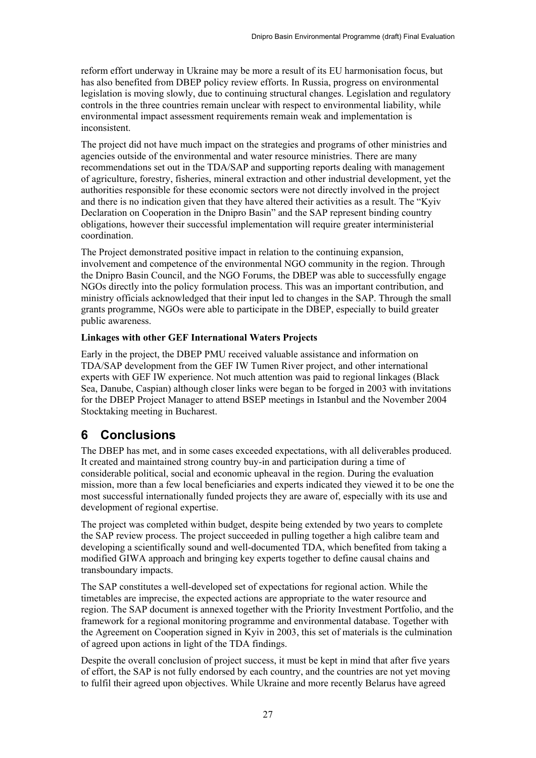reform effort underway in Ukraine may be more a result of its EU harmonisation focus, but has also benefited from DBEP policy review efforts. In Russia, progress on environmental legislation is moving slowly, due to continuing structural changes. Legislation and regulatory controls in the three countries remain unclear with respect to environmental liability, while environmental impact assessment requirements remain weak and implementation is inconsistent.

The project did not have much impact on the strategies and programs of other ministries and agencies outside of the environmental and water resource ministries. There are many recommendations set out in the TDA/SAP and supporting reports dealing with management of agriculture, forestry, fisheries, mineral extraction and other industrial development, yet the authorities responsible for these economic sectors were not directly involved in the project and there is no indication given that they have altered their activities as a result. The "Kyiv Declaration on Cooperation in the Dnipro Basin" and the SAP represent binding country obligations, however their successful implementation will require greater interministerial coordination.

The Project demonstrated positive impact in relation to the continuing expansion, involvement and competence of the environmental NGO community in the region. Through the Dnipro Basin Council, and the NGO Forums, the DBEP was able to successfully engage NGOs directly into the policy formulation process. This was an important contribution, and ministry officials acknowledged that their input led to changes in the SAP. Through the small grants programme, NGOs were able to participate in the DBEP, especially to build greater public awareness.

#### **Linkages with other GEF International Waters Projects**

Early in the project, the DBEP PMU received valuable assistance and information on TDA/SAP development from the GEF IW Tumen River project, and other international experts with GEF IW experience. Not much attention was paid to regional linkages (Black Sea, Danube, Caspian) although closer links were began to be forged in 2003 with invitations for the DBEP Project Manager to attend BSEP meetings in Istanbul and the November 2004 Stocktaking meeting in Bucharest.

## <span id="page-29-0"></span>**6 Conclusions**

The DBEP has met, and in some cases exceeded expectations, with all deliverables produced. It created and maintained strong country buy-in and participation during a time of considerable political, social and economic upheaval in the region. During the evaluation mission, more than a few local beneficiaries and experts indicated they viewed it to be one the most successful internationally funded projects they are aware of, especially with its use and development of regional expertise.

The project was completed within budget, despite being extended by two years to complete the SAP review process. The project succeeded in pulling together a high calibre team and developing a scientifically sound and well-documented TDA, which benefited from taking a modified GIWA approach and bringing key experts together to define causal chains and transboundary impacts.

The SAP constitutes a well-developed set of expectations for regional action. While the timetables are imprecise, the expected actions are appropriate to the water resource and region. The SAP document is annexed together with the Priority Investment Portfolio, and the framework for a regional monitoring programme and environmental database. Together with the Agreement on Cooperation signed in Kyiv in 2003, this set of materials is the culmination of agreed upon actions in light of the TDA findings.

Despite the overall conclusion of project success, it must be kept in mind that after five years of effort, the SAP is not fully endorsed by each country, and the countries are not yet moving to fulfil their agreed upon objectives. While Ukraine and more recently Belarus have agreed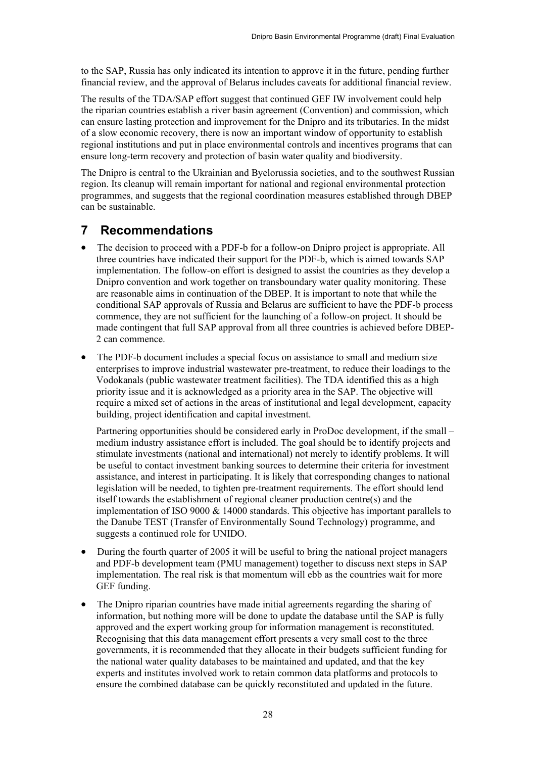to the SAP, Russia has only indicated its intention to approve it in the future, pending further financial review, and the approval of Belarus includes caveats for additional financial review.

The results of the TDA/SAP effort suggest that continued GEF IW involvement could help the riparian countries establish a river basin agreement (Convention) and commission, which can ensure lasting protection and improvement for the Dnipro and its tributaries. In the midst of a slow economic recovery, there is now an important window of opportunity to establish regional institutions and put in place environmental controls and incentives programs that can ensure long-term recovery and protection of basin water quality and biodiversity.

The Dnipro is central to the Ukrainian and Byelorussia societies, and to the southwest Russian region. Its cleanup will remain important for national and regional environmental protection programmes, and suggests that the regional coordination measures established through DBEP can be sustainable.

## <span id="page-30-0"></span>**7 Recommendations**

- The decision to proceed with a PDF-b for a follow-on Dnipro project is appropriate. All three countries have indicated their support for the PDF-b, which is aimed towards SAP implementation. The follow-on effort is designed to assist the countries as they develop a Dnipro convention and work together on transboundary water quality monitoring. These are reasonable aims in continuation of the DBEP. It is important to note that while the conditional SAP approvals of Russia and Belarus are sufficient to have the PDF-b process commence, they are not sufficient for the launching of a follow-on project. It should be made contingent that full SAP approval from all three countries is achieved before DBEP-2 can commence.
- The PDF-b document includes a special focus on assistance to small and medium size enterprises to improve industrial wastewater pre-treatment, to reduce their loadings to the Vodokanals (public wastewater treatment facilities). The TDA identified this as a high priority issue and it is acknowledged as a priority area in the SAP. The objective will require a mixed set of actions in the areas of institutional and legal development, capacity building, project identification and capital investment.

Partnering opportunities should be considered early in ProDoc development, if the small – medium industry assistance effort is included. The goal should be to identify projects and stimulate investments (national and international) not merely to identify problems. It will be useful to contact investment banking sources to determine their criteria for investment assistance, and interest in participating. It is likely that corresponding changes to national legislation will be needed, to tighten pre-treatment requirements. The effort should lend itself towards the establishment of regional cleaner production centre(s) and the implementation of ISO 9000 & 14000 standards. This objective has important parallels to the Danube TEST (Transfer of Environmentally Sound Technology) programme, and suggests a continued role for UNIDO.

- During the fourth quarter of 2005 it will be useful to bring the national project managers and PDF-b development team (PMU management) together to discuss next steps in SAP implementation. The real risk is that momentum will ebb as the countries wait for more GEF funding.
- The Dnipro riparian countries have made initial agreements regarding the sharing of information, but nothing more will be done to update the database until the SAP is fully approved and the expert working group for information management is reconstituted. Recognising that this data management effort presents a very small cost to the three governments, it is recommended that they allocate in their budgets sufficient funding for the national water quality databases to be maintained and updated, and that the key experts and institutes involved work to retain common data platforms and protocols to ensure the combined database can be quickly reconstituted and updated in the future.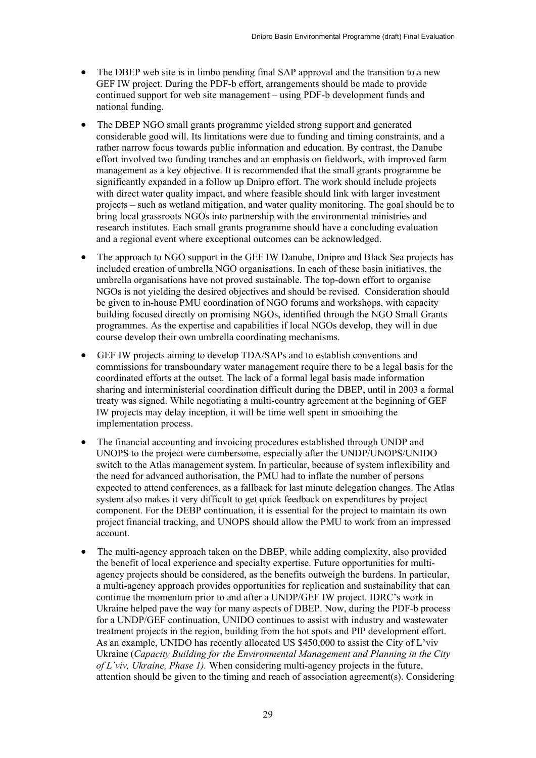- The DBEP web site is in limbo pending final SAP approval and the transition to a new GEF IW project. During the PDF-b effort, arrangements should be made to provide continued support for web site management – using PDF-b development funds and national funding.
- The DBEP NGO small grants programme yielded strong support and generated considerable good will. Its limitations were due to funding and timing constraints, and a rather narrow focus towards public information and education. By contrast, the Danube effort involved two funding tranches and an emphasis on fieldwork, with improved farm management as a key objective. It is recommended that the small grants programme be significantly expanded in a follow up Dnipro effort. The work should include projects with direct water quality impact, and where feasible should link with larger investment projects – such as wetland mitigation, and water quality monitoring. The goal should be to bring local grassroots NGOs into partnership with the environmental ministries and research institutes. Each small grants programme should have a concluding evaluation and a regional event where exceptional outcomes can be acknowledged.
- The approach to NGO support in the GEF IW Danube, Dnipro and Black Sea projects has included creation of umbrella NGO organisations. In each of these basin initiatives, the umbrella organisations have not proved sustainable. The top-down effort to organise NGOs is not yielding the desired objectives and should be revised. Consideration should be given to in-house PMU coordination of NGO forums and workshops, with capacity building focused directly on promising NGOs, identified through the NGO Small Grants programmes. As the expertise and capabilities if local NGOs develop, they will in due course develop their own umbrella coordinating mechanisms.
- GEF IW projects aiming to develop TDA/SAPs and to establish conventions and commissions for transboundary water management require there to be a legal basis for the coordinated efforts at the outset. The lack of a formal legal basis made information sharing and interministerial coordination difficult during the DBEP, until in 2003 a formal treaty was signed. While negotiating a multi-country agreement at the beginning of GEF IW projects may delay inception, it will be time well spent in smoothing the implementation process.
- The financial accounting and invoicing procedures established through UNDP and UNOPS to the project were cumbersome, especially after the UNDP/UNOPS/UNIDO switch to the Atlas management system. In particular, because of system inflexibility and the need for advanced authorisation, the PMU had to inflate the number of persons expected to attend conferences, as a fallback for last minute delegation changes. The Atlas system also makes it very difficult to get quick feedback on expenditures by project component. For the DEBP continuation, it is essential for the project to maintain its own project financial tracking, and UNOPS should allow the PMU to work from an impressed account.
- The multi-agency approach taken on the DBEP, while adding complexity, also provided the benefit of local experience and specialty expertise. Future opportunities for multiagency projects should be considered, as the benefits outweigh the burdens. In particular, a multi-agency approach provides opportunities for replication and sustainability that can continue the momentum prior to and after a UNDP/GEF IW project. IDRC's work in Ukraine helped pave the way for many aspects of DBEP. Now, during the PDF-b process for a UNDP/GEF continuation, UNIDO continues to assist with industry and wastewater treatment projects in the region, building from the hot spots and PIP development effort. As an example, UNIDO has recently allocated US \$450,000 to assist the City of L'viv Ukraine (*Capacity Building for the Environmental Management and Planning in the City of L´viv, Ukraine, Phase 1).* When considering multi-agency projects in the future, attention should be given to the timing and reach of association agreement(s). Considering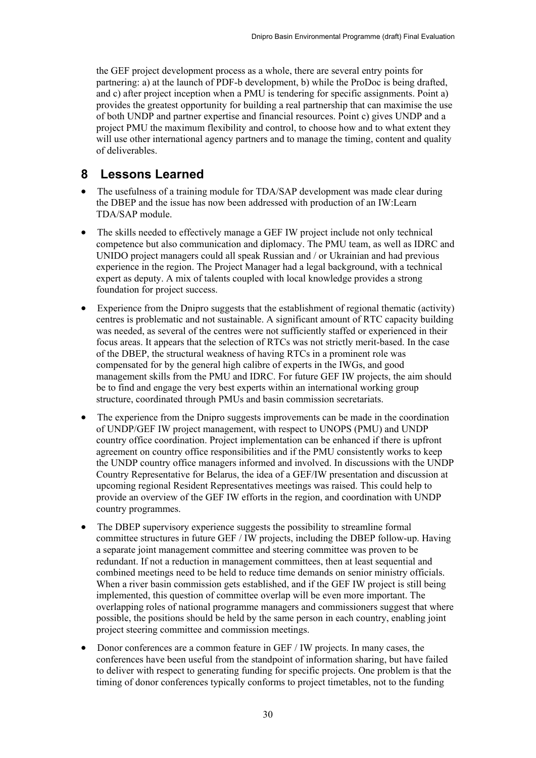the GEF project development process as a whole, there are several entry points for partnering: a) at the launch of PDF-b development, b) while the ProDoc is being drafted, and c) after project inception when a PMU is tendering for specific assignments. Point a) provides the greatest opportunity for building a real partnership that can maximise the use of both UNDP and partner expertise and financial resources. Point c) gives UNDP and a project PMU the maximum flexibility and control, to choose how and to what extent they will use other international agency partners and to manage the timing, content and quality of deliverables.

## <span id="page-32-0"></span>**8 Lessons Learned**

- The usefulness of a training module for TDA/SAP development was made clear during the DBEP and the issue has now been addressed with production of an IW:Learn TDA/SAP module.
- The skills needed to effectively manage a GEF IW project include not only technical competence but also communication and diplomacy. The PMU team, as well as IDRC and UNIDO project managers could all speak Russian and / or Ukrainian and had previous experience in the region. The Project Manager had a legal background, with a technical expert as deputy. A mix of talents coupled with local knowledge provides a strong foundation for project success.
- Experience from the Dnipro suggests that the establishment of regional thematic (activity) centres is problematic and not sustainable. A significant amount of RTC capacity building was needed, as several of the centres were not sufficiently staffed or experienced in their focus areas. It appears that the selection of RTCs was not strictly merit-based. In the case of the DBEP, the structural weakness of having RTCs in a prominent role was compensated for by the general high calibre of experts in the IWGs, and good management skills from the PMU and IDRC. For future GEF IW projects, the aim should be to find and engage the very best experts within an international working group structure, coordinated through PMUs and basin commission secretariats.
- The experience from the Dnipro suggests improvements can be made in the coordination of UNDP/GEF IW project management, with respect to UNOPS (PMU) and UNDP country office coordination. Project implementation can be enhanced if there is upfront agreement on country office responsibilities and if the PMU consistently works to keep the UNDP country office managers informed and involved. In discussions with the UNDP Country Representative for Belarus, the idea of a GEF/IW presentation and discussion at upcoming regional Resident Representatives meetings was raised. This could help to provide an overview of the GEF IW efforts in the region, and coordination with UNDP country programmes.
- The DBEP supervisory experience suggests the possibility to streamline formal committee structures in future GEF / IW projects, including the DBEP follow-up. Having a separate joint management committee and steering committee was proven to be redundant. If not a reduction in management committees, then at least sequential and combined meetings need to be held to reduce time demands on senior ministry officials. When a river basin commission gets established, and if the GEF IW project is still being implemented, this question of committee overlap will be even more important. The overlapping roles of national programme managers and commissioners suggest that where possible, the positions should be held by the same person in each country, enabling joint project steering committee and commission meetings.
- Donor conferences are a common feature in GEF / IW projects. In many cases, the conferences have been useful from the standpoint of information sharing, but have failed to deliver with respect to generating funding for specific projects. One problem is that the timing of donor conferences typically conforms to project timetables, not to the funding